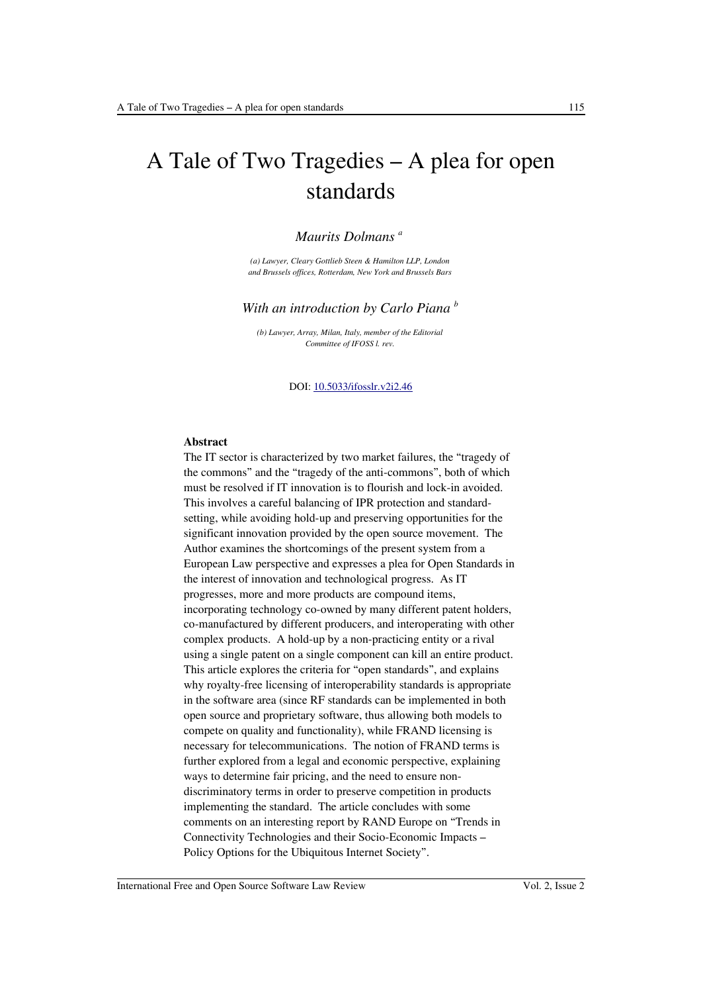# A Tale of Two Tragedies – A plea for open standards

#### *Maurits Dolmans <sup>a</sup>*

*(a) Lawyer, Cleary Gottlieb Steen & Hamilton LLP, London and Brussels offices, Rotterdam, New York and Brussels Bars*

#### *With an introduction by Carlo Piana <sup>b</sup>*

*(b) Lawyer, Array, Milan, Italy, member of the Editorial Committee of IFOSS l. rev.*

#### DOI: [10.5033/ifosslr.v2i2.46](http://dx.doi.org/10.5033/ifosslr.v2i2.46)

#### **Abstract**

The IT sector is characterized by two market failures, the "tragedy of the commons" and the "tragedy of the anti-commons", both of which must be resolved if IT innovation is to flourish and lock-in avoided. This involves a careful balancing of IPR protection and standardsetting, while avoiding hold-up and preserving opportunities for the significant innovation provided by the open source movement. The Author examines the shortcomings of the present system from a European Law perspective and expresses a plea for Open Standards in the interest of innovation and technological progress. As IT progresses, more and more products are compound items, incorporating technology co-owned by many different patent holders, co-manufactured by different producers, and interoperating with other complex products. A hold-up by a non-practicing entity or a rival using a single patent on a single component can kill an entire product. This article explores the criteria for "open standards", and explains why royalty-free licensing of interoperability standards is appropriate in the software area (since RF standards can be implemented in both open source and proprietary software, thus allowing both models to compete on quality and functionality), while FRAND licensing is necessary for telecommunications. The notion of FRAND terms is further explored from a legal and economic perspective, explaining ways to determine fair pricing, and the need to ensure nondiscriminatory terms in order to preserve competition in products implementing the standard. The article concludes with some comments on an interesting report by RAND Europe on "Trends in Connectivity Technologies and their Socio-Economic Impacts – Policy Options for the Ubiquitous Internet Society".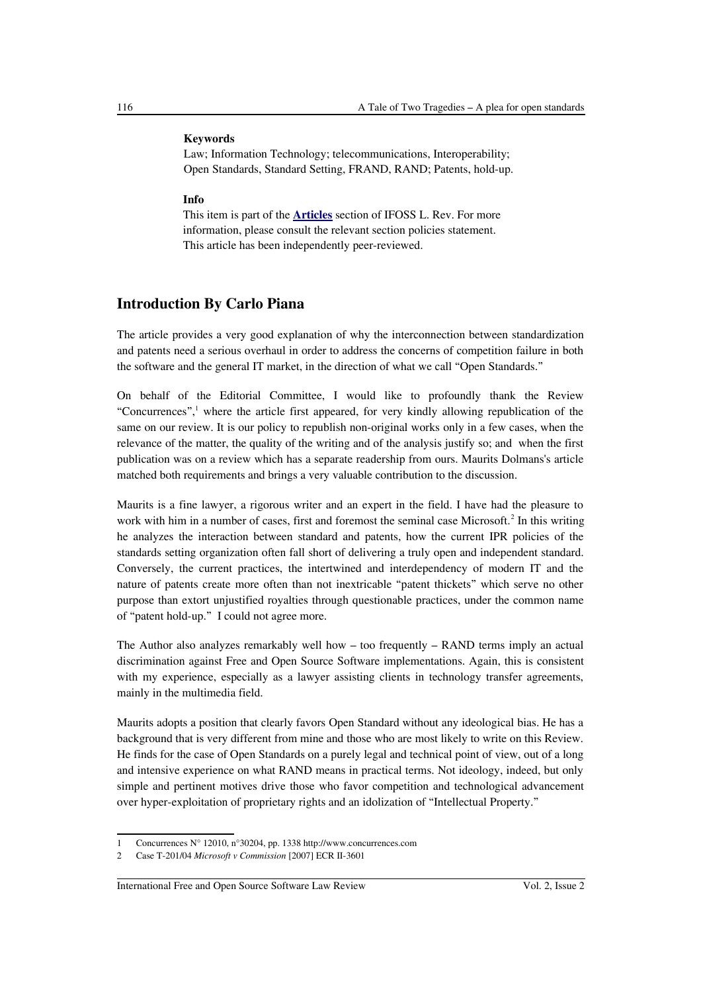#### **Keywords**

Law; Information Technology; telecommunications, Interoperability; Open Standards, Standard Setting, FRAND, RAND; Patents, hold-up.

#### **Info**

This item is part of the **[Articles](http://www.ifosslr.org/ifosslr/about/editorialPolicies#sectionPolicies)** section of IFOSS L. Rev. For more information, please consult the relevant section policies statement. This article has been independently peer-reviewed.

## **Introduction By Carlo Piana**

The article provides a very good explanation of why the interconnection between standardization and patents need a serious overhaul in order to address the concerns of competition failure in both the software and the general IT market, in the direction of what we call "Open Standards."

On behalf of the Editorial Committee, I would like to profoundly thank the Review "Concurrences",<sup>[1](#page-1-0)</sup> where the article first appeared, for very kindly allowing republication of the same on our review. It is our policy to republish non-original works only in a few cases, when the relevance of the matter, the quality of the writing and of the analysis justify so; and when the first publication was on a review which has a separate readership from ours. Maurits Dolmans's article matched both requirements and brings a very valuable contribution to the discussion.

Maurits is a fine lawyer, a rigorous writer and an expert in the field. I have had the pleasure to work with him in a number of cases, first and foremost the seminal case Microsoft.<sup>[2](#page-1-1)</sup> In this writing he analyzes the interaction between standard and patents, how the current IPR policies of the standards setting organization often fall short of delivering a truly open and independent standard. Conversely, the current practices, the intertwined and interdependency of modern IT and the nature of patents create more often than not inextricable "patent thickets" which serve no other purpose than extort unjustified royalties through questionable practices, under the common name of "patent hold-up." I could not agree more.

The Author also analyzes remarkably well how – too frequently – RAND terms imply an actual discrimination against Free and Open Source Software implementations. Again, this is consistent with my experience, especially as a lawyer assisting clients in technology transfer agreements, mainly in the multimedia field.

Maurits adopts a position that clearly favors Open Standard without any ideological bias. He has a background that is very different from mine and those who are most likely to write on this Review. He finds for the case of Open Standards on a purely legal and technical point of view, out of a long and intensive experience on what RAND means in practical terms. Not ideology, indeed, but only simple and pertinent motives drive those who favor competition and technological advancement over hyper-exploitation of proprietary rights and an idolization of "Intellectual Property."

<span id="page-1-0"></span><sup>1</sup> Concurrences N° 12010, n°30204, pp. 1338 http://www.concurrences.com

<span id="page-1-1"></span><sup>2</sup> Case T-201/04 *Microsoft v Commission* [2007] ECR II-3601

International Free and Open Source Software Law Review Vol. 2, Issue 2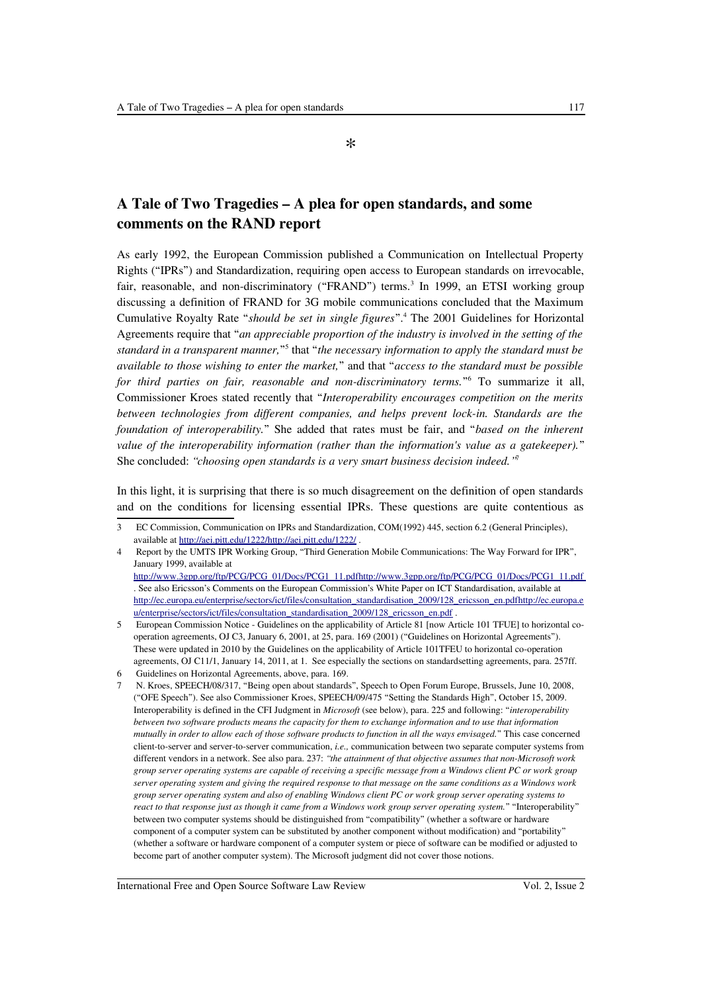\*

# **A Tale of Two Tragedies – A plea for open standards, and some comments on the RAND report**

As early 1992, the European Commission published a Communication on Intellectual Property Rights ("IPRs") and Standardization, requiring open access to European standards on irrevocable, fair, reasonable, and non-discriminatory ("FRAND") terms.<sup>[3](#page-2-0)</sup> In 1999, an ETSI working group discussing a definition of FRAND for 3G mobile communications concluded that the Maximum Cumulative Royalty Rate "*should be set in single figures*".[4](#page-2-1) The 2001 Guidelines for Horizontal Agreements require that "*an appreciable proportion of the industry is involved in the setting of the standard in a transparent manner,*" [5](#page-2-2) that "*the necessary information to apply the standard must be available to those wishing to enter the market,*" and that "*access to the standard must be possible* for third parties on fair, reasonable and non-discriminatory terms."<sup>[6](#page-2-3)</sup> To summarize it all, Commissioner Kroes stated recently that "*Interoperability encourages competition on the merits between technologies from different companies, and helps prevent lock-in. Standards are the foundation of interoperability.*" She added that rates must be fair, and "*based on the inherent value of the interoperability information (rather than the information's value as a gatekeeper).*" She concluded: *"choosing open standards is a very smart business decision indeed."*[7](#page-2-4)

In this light, it is surprising that there is so much disagreement on the definition of open standards and on the conditions for licensing essential IPRs. These questions are quite contentious as

<span id="page-2-0"></span><sup>3</sup> EC Commission, Communication on IPRs and Standardization, COM(1992) 445, section 6.2 (General Principles), available at [http://aei.pitt.edu/1222/ http://aei.pitt.edu/1222/](http://aei.pitt.edu/1222/) .

<span id="page-2-1"></span><sup>4</sup> Report by the UMTS IPR Working Group, "Third Generation Mobile Communications: The Way Forward for IPR", January 1999, available at  [http://www.3gpp.org/ftp/PCG/PCG\\_01/Docs/PCG1\\_11.pdf http://www.3gpp.org/ftp/PCG/PCG\\_01/Docs/PCG1\\_11.pdf](http://www.3gpp.org/ftp/PCG/PCG_01/Docs/PCG1_11.pdf) . See also Ericsson's Comments on the European Commission's White Paper on ICT Standardisation, available at http://ec.europa.eu/enterprise/sectors/ict/files/consultation\_standardisation\_2009/128\_ericsson\_en.pdfhttp://ec.europa.e [u/enterprise/sectors/ict/files/consultation\\_standardisation\\_2009/128\\_ericsson\\_en.pdf](http://ec.europa.eu/enterprise/sectors/ict/files/consultation_standardisation_2009/128_ericsson_en.pdf) .

<span id="page-2-2"></span><sup>5</sup> European Commission Notice - Guidelines on the applicability of Article 81 [now Article 101 TFUE] to horizontal cooperation agreements, OJ C3, January 6, 2001, at 25, para. 169 (2001) ("Guidelines on Horizontal Agreements"). These were updated in 2010 by the Guidelines on the applicability of Article 101TFEU to horizontal co-operation agreements, OJ C11/1, January 14, 2011, at 1. See especially the sections on standardsetting agreements, para. 257ff.

<span id="page-2-3"></span><sup>6</sup> Guidelines on Horizontal Agreements, above, para. 169.

<span id="page-2-4"></span><sup>7</sup> N. Kroes, SPEECH/08/317, "Being open about standards", Speech to Open Forum Europe, Brussels, June 10, 2008, ("OFE Speech"). See also Commissioner Kroes, SPEECH/09/475 "Setting the Standards High", October 15, 2009. Interoperability is defined in the CFI Judgment in *Microsoft* (see below), para. 225 and following: "*interoperability between two software products means the capacity for them to exchange information and to use that information mutually in order to allow each of those software products to function in all the ways envisaged.*" This case concerned client-to-server and server-to-server communication, *i.e.,* communication between two separate computer systems from different vendors in a network. See also para. 237: *"the attainment of that objective assumes that non-Microsoft work group server operating systems are capable of receiving a specific message from a Windows client PC or work group server operating system and giving the required response to that message on the same conditions as a Windows work group server operating system and also of enabling Windows client PC or work group server operating systems to react to that response just as though it came from a Windows work group server operating system.*" "Interoperability" between two computer systems should be distinguished from "compatibility" (whether a software or hardware component of a computer system can be substituted by another component without modification) and "portability" (whether a software or hardware component of a computer system or piece of software can be modified or adjusted to become part of another computer system). The Microsoft judgment did not cover those notions.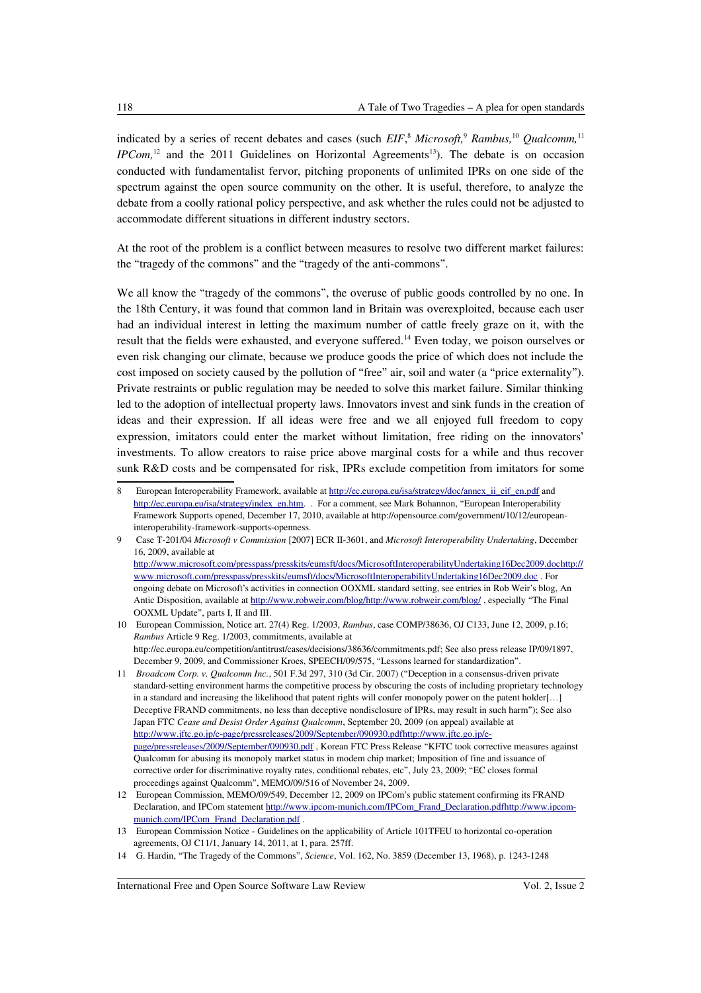indicated by a series of recent debates and cases (such *EIF*,<sup>[8](#page-3-0)</sup> *Microsoft*,<sup>[9](#page-3-1)</sup> *Rambus*,<sup>[10](#page-3-2)</sup> *Qualcomm*,<sup>[11](#page-3-3)</sup> *IPCom*,<sup>[12](#page-3-4)</sup> and the 2011 Guidelines on Horizontal Agreements<sup>[13](#page-3-5)</sup>). The debate is on occasion conducted with fundamentalist fervor, pitching proponents of unlimited IPRs on one side of the spectrum against the open source community on the other. It is useful, therefore, to analyze the debate from a coolly rational policy perspective, and ask whether the rules could not be adjusted to accommodate different situations in different industry sectors.

At the root of the problem is a conflict between measures to resolve two different market failures: the "tragedy of the commons" and the "tragedy of the anti-commons".

We all know the "tragedy of the commons", the overuse of public goods controlled by no one. In the 18th Century, it was found that common land in Britain was overexploited, because each user had an individual interest in letting the maximum number of cattle freely graze on it, with the result that the fields were exhausted, and everyone suffered.[14](#page-3-6) Even today, we poison ourselves or even risk changing our climate, because we produce goods the price of which does not include the cost imposed on society caused by the pollution of "free" air, soil and water (a "price externality"). Private restraints or public regulation may be needed to solve this market failure. Similar thinking led to the adoption of intellectual property laws. Innovators invest and sink funds in the creation of ideas and their expression. If all ideas were free and we all enjoyed full freedom to copy expression, imitators could enter the market without limitation, free riding on the innovators' investments. To allow creators to raise price above marginal costs for a while and thus recover sunk R&D costs and be compensated for risk, IPRs exclude competition from imitators for some

<span id="page-3-0"></span><sup>8</sup> European Interoperability Framework, available at [http://ec.europa.eu/isa/strategy/doc/annex\\_ii\\_eif\\_en.pdf](http://ec.europa.eu/isa/strategy/doc/annex_ii_eif_en.pdf) and [http://ec.europa.eu/isa/strategy/index\\_en.htm.](http://ec.europa.eu/isa/strategy/index_en.htm) . For a comment, see Mark Bohannon, "European Interoperability Framework Supports opened, December 17, 2010, available at http://opensource.com/government/10/12/europeaninteroperability-framework-supports-openness.

<span id="page-3-1"></span><sup>9</sup> Case T-201/04 *Microsoft v Commission* [2007] ECR II-3601, and *Microsoft Interoperability Undertaking*, December 16, 2009, available at  [http://www.microsoft.com/presspass/presskits/eumsft/docs/MicrosoftInteroperabilityUndertaking16Dec2009.doc http://](http://www.microsoft.com/presspass/presskits/eumsft/docs/MicrosoftInteroperabilityUndertaking16Dec2009.doc) [www.microsoft.com/presspass/presskits/eumsft/docs/MicrosoftInteroperabilityUndertaking16Dec2009.doc](http://www.microsoft.com/presspass/presskits/eumsft/docs/MicrosoftInteroperabilityUndertaking16Dec2009.doc) . For ongoing debate on Microsoft's activities in connection OOXML standard setting, see entries in Rob Weir's blog, An Antic Disposition, available at http://www.robweir.com/blog/http://www.robweir.com/blog/, especially "The Final OOXML Update", parts I, II and III.

<span id="page-3-2"></span><sup>10</sup> European Commission, Notice art. 27(4) Reg. 1/2003, *Rambus*, case COMP/38636, OJ C133, June 12, 2009, p.16; *Rambus* Article 9 Reg. 1/2003, commitments, available at http://ec.europa.eu/competition/antitrust/cases/decisions/38636/commitments.pdf; See also press release IP/09/1897, December 9, 2009, and Commissioner Kroes, SPEECH/09/575, "Lessons learned for standardization".

<span id="page-3-3"></span><sup>11</sup> *Broadcom Corp. v. Qualcomm Inc.*, 501 F.3d 297, 310 (3d Cir. 2007) ("Deception in a consensus-driven private standard-setting environment harms the competitive process by obscuring the costs of including proprietary technology in a standard and increasing the likelihood that patent rights will confer monopoly power on the patent holder[...] Deceptive FRAND commitments, no less than deceptive nondisclosure of IPRs, may result in such harm"); See also Japan FTC *Cease and Desist Order Against Qualcomm*, September 20, 2009 (on appeal) available at http://www.jftc.go.jp/e-page/pressreleases/2009/September/090930.pdfhttp://www.jftc.go.jp/e[page/pressreleases/2009/September/090930.pdf](http://www.jftc.go.jp/e-page/pressreleases/2009/September/090930.pdf) , Korean FTC Press Release "KFTC took corrective measures against Qualcomm for abusing its monopoly market status in modem chip market; Imposition of fine and issuance of corrective order for discriminative royalty rates, conditional rebates, etc", July 23, 2009; "EC closes formal proceedings against Qualcomm", MEMO/09/516 of November 24, 2009.

<span id="page-3-4"></span><sup>12</sup> European Commission, MEMO/09/549, December 12, 2009 on IPCom's public statement confirming its FRAND Declaration, and IPCom statement [http://www.ipcom-munich.com/IPCom\\_Frand\\_Declaration.pdf http://www.ipcom](http://www.ipcom-munich.com/IPCom_Frand_Declaration.pdf)[munich.com/IPCom\\_Frand\\_Declaration.pdf](http://www.ipcom-munich.com/IPCom_Frand_Declaration.pdf) .

<span id="page-3-5"></span><sup>13</sup> European Commission Notice - Guidelines on the applicability of Article 101TFEU to horizontal co-operation agreements, OJ C11/1, January 14, 2011, at 1, para. 257ff.

<span id="page-3-6"></span><sup>14</sup> G. Hardin, "The Tragedy of the Commons", *Science*, Vol. 162, No. 3859 (December 13, 1968), p. 1243-1248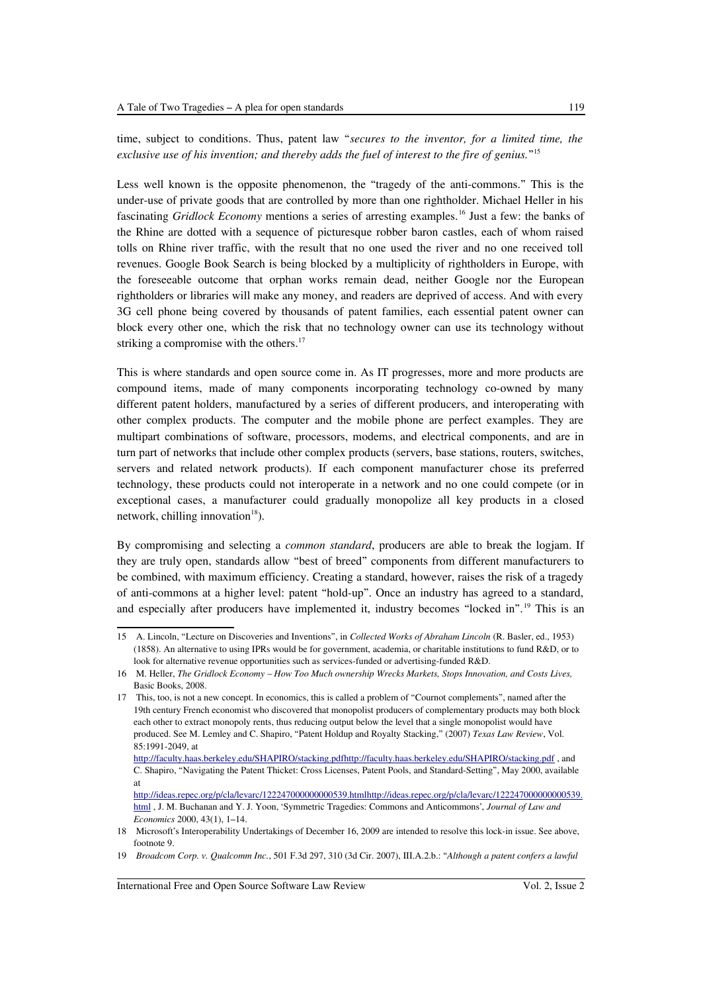time, subject to conditions. Thus, patent law "*secures to the inventor, for a limited time, the exclusive use of his invention; and thereby adds the fuel of interest to the fire of genius.*" [15](#page-4-0)

Less well known is the opposite phenomenon, the "tragedy of the anti-commons." This is the under-use of private goods that are controlled by more than one rightholder. Michael Heller in his fascinating *Gridlock Economy* mentions a series of arresting examples.<sup>[16](#page-4-1)</sup> Just a few: the banks of the Rhine are dotted with a sequence of picturesque robber baron castles, each of whom raised tolls on Rhine river traffic, with the result that no one used the river and no one received toll revenues. Google Book Search is being blocked by a multiplicity of rightholders in Europe, with the foreseeable outcome that orphan works remain dead, neither Google nor the European rightholders or libraries will make any money, and readers are deprived of access. And with every 3G cell phone being covered by thousands of patent families, each essential patent owner can block every other one, which the risk that no technology owner can use its technology without striking a compromise with the others.<sup>[17](#page-4-2)</sup>

This is where standards and open source come in. As IT progresses, more and more products are compound items, made of many components incorporating technology co-owned by many different patent holders, manufactured by a series of different producers, and interoperating with other complex products. The computer and the mobile phone are perfect examples. They are multipart combinations of software, processors, modems, and electrical components, and are in turn part of networks that include other complex products (servers, base stations, routers, switches, servers and related network products). If each component manufacturer chose its preferred technology, these products could not interoperate in a network and no one could compete (or in exceptional cases, a manufacturer could gradually monopolize all key products in a closed network, chilling innovation $18$ ).

By compromising and selecting a *common standard*, producers are able to break the logjam. If they are truly open, standards allow "best of breed" components from different manufacturers to be combined, with maximum efficiency. Creating a standard, however, raises the risk of a tragedy of anti-commons at a higher level: patent "hold-up". Once an industry has agreed to a standard, and especially after producers have implemented it, industry becomes "locked in".<sup>[19](#page-4-4)</sup> This is an

<span id="page-4-0"></span><sup>15</sup> A. Lincoln, "Lecture on Discoveries and Inventions", in *Collected Works of Abraham Lincoln* (R. Basler, ed., 1953) (1858). An alternative to using IPRs would be for government, academia, or charitable institutions to fund R&D, or to look for alternative revenue opportunities such as services-funded or advertising-funded R&D.

<span id="page-4-1"></span><sup>16</sup> M. Heller, *The Gridlock Economy – How Too Much ownership Wrecks Markets, Stops Innovation, and Costs Lives,* Basic Books, 2008.

<span id="page-4-2"></span><sup>17</sup> This, too, is not a new concept. In economics, this is called a problem of "Cournot complements", named after the 19th century French economist who discovered that monopolist producers of complementary products may both block each other to extract monopoly rents, thus reducing output below the level that a single monopolist would have produced. See M. Lemley and C. Shapiro, "Patent Holdup and Royalty Stacking," (2007) *Texas Law Review*, Vol. 85:1991-2049, at

http://faculty.haas.berkeley.edu/SHAPIRO/stacking.pdfhttp://faculty.haas.berkeley.edu/SHAPIRO/stacking.pdf, and C. Shapiro, "Navigating the Patent Thicket: Cross Licenses, Patent Pools, and Standard-Setting", May 2000, available at

[http://ideas.repec.org/p/cla/levarc/122247000000000539.html http://ideas.repec.org/p/cla/levarc/122247000000000539.](http://ideas.repec.org/p/cla/levarc/122247000000000539.html) [html](http://ideas.repec.org/p/cla/levarc/122247000000000539.html) , J. M. Buchanan and Y. J. Yoon, 'Symmetric Tragedies: Commons and Anticommons', *Journal of Law and Economics* 2000, 43(1), 1–14.

<span id="page-4-3"></span><sup>18</sup> Microsoft's Interoperability Undertakings of December 16, 2009 are intended to resolve this lock-in issue. See above, footnote 9.

<span id="page-4-4"></span><sup>19</sup> *Broadcom Corp. v. Qualcomm Inc.*, 501 F.3d 297, 310 (3d Cir. 2007), III.A.2.b.: "*Although a patent confers a lawful*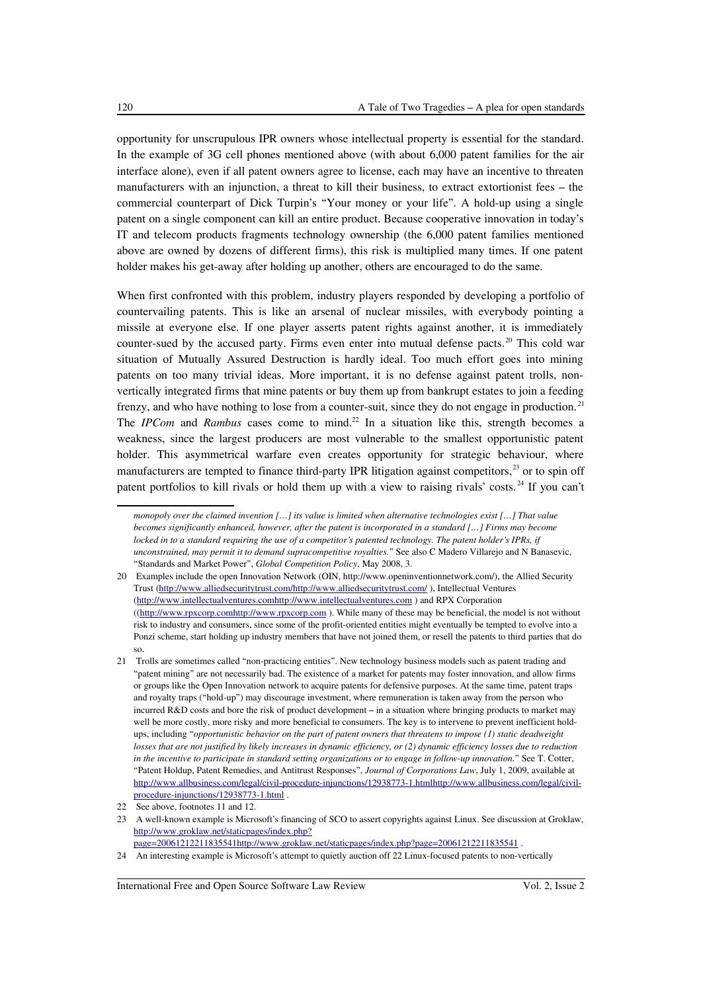opportunity for unscrupulous IPR owners whose intellectual property is essential for the standard. In the example of 3G cell phones mentioned above (with about 6,000 patent families for the air interface alone), even if all patent owners agree to license, each may have an incentive to threaten manufacturers with an injunction, a threat to kill their business, to extract extortionist fees – the commercial counterpart of Dick Turpin's "Your money or your life". A hold-up using a single patent on a single component can kill an entire product. Because cooperative innovation in today's IT and telecom products fragments technology ownership (the 6,000 patent families mentioned above are owned by dozens of different firms), this risk is multiplied many times. If one patent holder makes his get-away after holding up another, others are encouraged to do the same.

When first confronted with this problem, industry players responded by developing a portfolio of countervailing patents. This is like an arsenal of nuclear missiles, with everybody pointing a missile at everyone else. If one player asserts patent rights against another, it is immediately counter-sued by the accused party. Firms even enter into mutual defense pacts.<sup>[20](#page-5-0)</sup> This cold war situation of Mutually Assured Destruction is hardly ideal. Too much effort goes into mining patents on too many trivial ideas. More important, it is no defense against patent trolls, nonvertically integrated firms that mine patents or buy them up from bankrupt estates to join a feeding frenzy, and who have nothing to lose from a counter-suit, since they do not engage in production.<sup>[21](#page-5-1)</sup> The *IPCom* and *Rambus* cases come to mind.<sup>[22](#page-5-2)</sup> In a situation like this, strength becomes a weakness, since the largest producers are most vulnerable to the smallest opportunistic patent holder. This asymmetrical warfare even creates opportunity for strategic behaviour, where manufacturers are tempted to finance third-party IPR litigation against competitors,<sup>[23](#page-5-3)</sup> or to spin off patent portfolios to kill rivals or hold them up with a view to raising rivals' costs.<sup>[24](#page-5-4)</sup> If you can't

*monopoly over the claimed invention […] its value is limited when alternative technologies exist […] That value becomes significantly enhanced, however, after the patent is incorporated in a standard […] Firms may become locked in to a standard requiring the use of a competitor's patented technology. The patent holder's IPRs, if unconstrained, may permit it to demand supracompetitive royalties.*" See also C Madero Villarejo and N Banasevic, "Standards and Market Power", *Global Competition Policy*, May 2008, 3.

<span id="page-5-0"></span><sup>20</sup> Examples include the open Innovation Network (OIN, http://www.openinventionnetwork.com/), the Allied Security Trust [\( http://www.alliedsecuritytrust.com/ http://www.alliedsecuritytrust.com/](http://www.alliedsecuritytrust.com/) ), Intellectual Ventures [\( http://www.intellectualventures.com http://www.intellectualventures.com](http://www.intellectualventures.com/) ) and RPX Corporation ([\( http://www.rpxcorp.com http://www.rpxcorp.com](http://www.rpxcorp.com/) ). While many of these may be beneficial, the model is not without risk to industry and consumers, since some of the profit-oriented entities might eventually be tempted to evolve into a Ponzi scheme, start holding up industry members that have not joined them, or resell the patents to third parties that do so.

<span id="page-5-1"></span><sup>21</sup> Trolls are sometimes called "non-practicing entities". New technology business models such as patent trading and "patent mining" are not necessarily bad. The existence of a market for patents may foster innovation, and allow firms or groups like the Open Innovation network to acquire patents for defensive purposes. At the same time, patent traps and royalty traps ("hold-up") may discourage investment, where remuneration is taken away from the person who incurred R&D costs and bore the risk of product development – in a situation where bringing products to market may well be more costly, more risky and more beneficial to consumers. The key is to intervene to prevent inefficient holdups, including "*opportunistic behavior on the part of patent owners that threatens to impose (1) static deadweight losses that are not justified by likely increases in dynamic efficiency, or (2) dynamic efficiency losses due to reduction in the incentive to participate in standard setting organizations or to engage in follow-up innovation.*" See T. Cotter, "Patent Holdup, Patent Remedies, and Antitrust Responses", *Journal of Corporations Law*, July 1, 2009, available at  [http://www.allbusiness.com/legal/civil-procedure-injunctions/12938773-1.html http://www.allbusiness.com/legal/civil](http://www.allbusiness.com/legal/civil-procedure-injunctions/12938773-1.html)[procedure-injunctions/12938773-1.html](http://www.allbusiness.com/legal/civil-procedure-injunctions/12938773-1.html) .

<span id="page-5-2"></span><sup>22</sup> See above, footnotes 11 and 12.

<span id="page-5-3"></span><sup>23</sup> A well-known example is Microsoft's financing of SCO to assert copyrights against Linux. See discussion at Groklaw, [http://www.groklaw.net/staticpages/index.php?](http://www.groklaw.net/staticpages/index.php?page=20061212211835541)

[page=20061212211835541 http://www.groklaw.net/staticpages/index.php?page=20061212211835541](http://www.groklaw.net/staticpages/index.php?page=20061212211835541) .

<span id="page-5-4"></span><sup>24</sup> An interesting example is Microsoft's attempt to quietly auction off 22 Linux-focused patents to non-vertically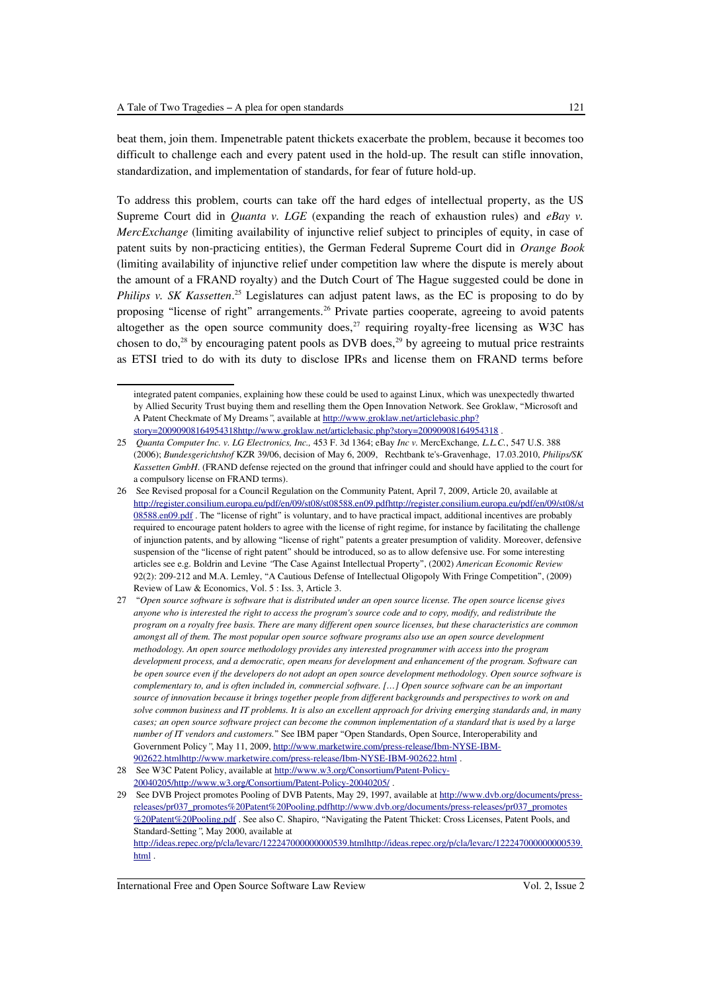beat them, join them. Impenetrable patent thickets exacerbate the problem, because it becomes too difficult to challenge each and every patent used in the hold-up. The result can stifle innovation, standardization, and implementation of standards, for fear of future hold-up.

To address this problem, courts can take off the hard edges of intellectual property, as the US Supreme Court did in *Quanta v. LGE* (expanding the reach of exhaustion rules) and *eBay v. MercExchange* (limiting availability of injunctive relief subject to principles of equity, in case of patent suits by non-practicing entities), the German Federal Supreme Court did in *Orange Book* (limiting availability of injunctive relief under competition law where the dispute is merely about the amount of a FRAND royalty) and the Dutch Court of The Hague suggested could be done in Philips v. SK Kassetten.<sup>[25](#page-6-0)</sup> Legislatures can adjust patent laws, as the EC is proposing to do by proposing "license of right" arrangements.<sup>[26](#page-6-1)</sup> Private parties cooperate, agreeing to avoid patents altogether as the open source community does, $^{27}$  $^{27}$  $^{27}$  requiring royalty-free licensing as W3C has chosen to do,<sup>[28](#page-6-3)</sup> by encouraging patent pools as DVB does,<sup>[29](#page-6-4)</sup> by agreeing to mutual price restraints as ETSI tried to do with its duty to disclose IPRs and license them on FRAND terms before

integrated patent companies, explaining how these could be used to against Linux, which was unexpectedly thwarted by Allied Security Trust buying them and reselling them the Open Innovation Network. See Groklaw, "Microsoft and A Patent Checkmate of My Dreams*"*, available at [http://www.groklaw.net/articlebasic.php?](http://www.groklaw.net/articlebasic.php?story=20090908164954318) story=20090908164954318http://www.groklaw.net/articlebasic.php?story=20090908164954318 .

<span id="page-6-0"></span><sup>25</sup> *Quanta Computer Inc. v. LG Electronics, Inc.,* 453 F. 3d 1364; eBay *Inc v.* MercExchange*, L.L.C.*, 547 U.S. 388 (2006); *Bundesgerichtshof* KZR 39/06, decision of May 6, 2009, Rechtbank te's-Gravenhage, 17.03.2010, *Philips/SK Kassetten GmbH*. (FRAND defense rejected on the ground that infringer could and should have applied to the court for a compulsory license on FRAND terms).

<span id="page-6-1"></span><sup>26</sup> See Revised proposal for a Council Regulation on the Community Patent, April 7, 2009, Article 20, available at  [http://register.consilium.europa.eu/pdf/en/09/st08/st08588.en09.pdf http://register.consilium.europa.eu/pdf/en/09/st08/st](http://register.consilium.europa.eu/pdf/en/09/st08/st08588.en09.pdf) [08588.en09.pdf](http://register.consilium.europa.eu/pdf/en/09/st08/st08588.en09.pdf) . The "license of right" is voluntary, and to have practical impact, additional incentives are probably required to encourage patent holders to agree with the license of right regime, for instance by facilitating the challenge of injunction patents, and by allowing "license of right" patents a greater presumption of validity. Moreover, defensive suspension of the "license of right patent" should be introduced, so as to allow defensive use. For some interesting articles see e.g. Boldrin and Levine *"*The Case Against Intellectual Property", (2002) *American Economic Review* 92(2): 209-212 and M.A. Lemley, "A Cautious Defense of Intellectual Oligopoly With Fringe Competition", (2009) Review of Law & Economics, Vol. 5 : Iss. 3, Article 3.

<span id="page-6-2"></span><sup>27 &</sup>quot;*Open source software is software that is distributed under an open source license. The open source license gives anyone who is interested the right to access the program's source code and to copy, modify, and redistribute the program on a royalty free basis. There are many different open source licenses, but these characteristics are common amongst all of them. The most popular open source software programs also use an open source development methodology. An open source methodology provides any interested programmer with access into the program development process, and a democratic, open means for development and enhancement of the program. Software can be open source even if the developers do not adopt an open source development methodology. Open source software is complementary to, and is often included in, commercial software. […] Open source software can be an important source of innovation because it brings together people from different backgrounds and perspectives to work on and solve common business and IT problems. It is also an excellent approach for driving emerging standards and, in many cases; an open source software project can become the common implementation of a standard that is used by a large number of IT vendors and customers.*" See IBM paper "Open Standards, Open Source, Interoperability and Government Policy*"*, May 11, 2009, [http://www.marketwire.com/press-release/Ibm-NYSE-IBM-](http://www.marketwire.com/press-release/Ibm-NYSE-IBM-902622.html)  [902622.html http://www.marketwire.com/press-release/Ibm-NYSE-IBM-902622.html](http://www.marketwire.com/press-release/Ibm-NYSE-IBM-902622.html) .

<span id="page-6-3"></span><sup>28</sup> See W3C Patent Policy, available at [http://www.w3.org/Consortium/Patent-Policy-](http://www.w3.org/Consortium/Patent-Policy-20040205/) 20040205/http://www.w3.org/Consortium/Patent-Policy-20040205/.

<span id="page-6-4"></span><sup>29</sup> See DVB Project promotes Pooling of DVB Patents, May 29, 1997, available at [http://www.dvb.org/documents/press](http://www.dvb.org/documents/press-releases/pr037_promotes%20Patent%20Pooling.pdf)  [releases/pr037\\_promotes%20Patent%20Pooling.pdf http://www.dvb.org/documents/press-releases/pr037\\_promotes](http://www.dvb.org/documents/press-releases/pr037_promotes%20Patent%20Pooling.pdf) [%20Patent%20Pooling.pdf](http://www.dvb.org/documents/press-releases/pr037_promotes%20Patent%20Pooling.pdf) . See also C. Shapiro, "Navigating the Patent Thicket: Cross Licenses, Patent Pools, and Standard-Setting*"*, May 2000, available at  [http://ideas.repec.org/p/cla/levarc/122247000000000539.html http://ideas.repec.org/p/cla/levarc/122247000000000539.](http://ideas.repec.org/p/cla/levarc/122247000000000539.html) [html](http://ideas.repec.org/p/cla/levarc/122247000000000539.html) .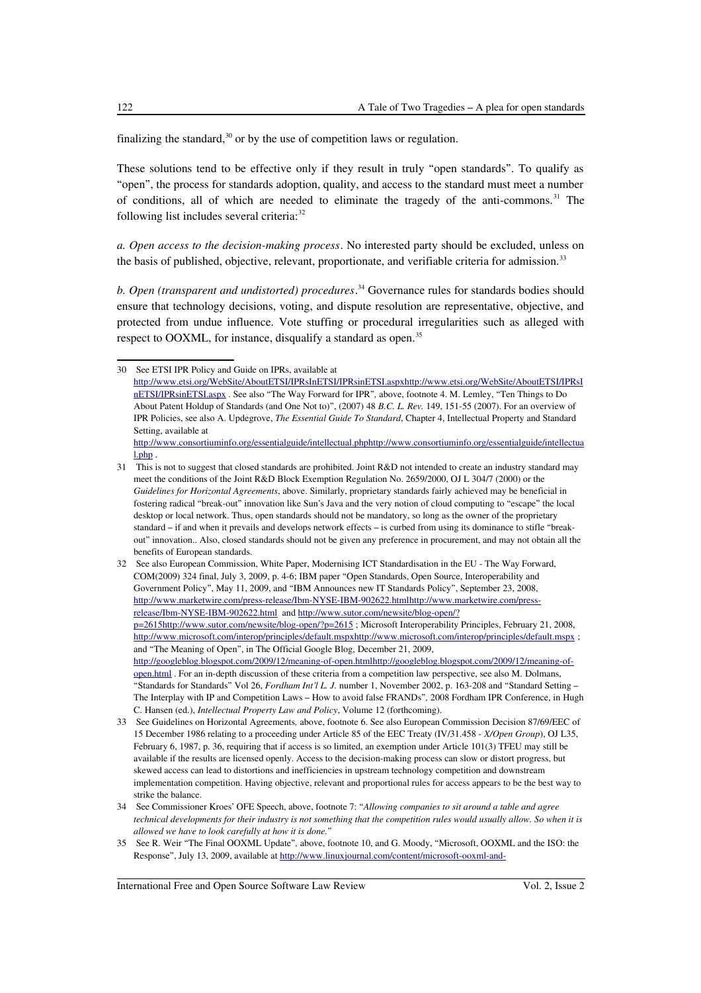finalizing the standard, $30$  or by the use of competition laws or regulation.

These solutions tend to be effective only if they result in truly "open standards". To qualify as "open", the process for standards adoption, quality, and access to the standard must meet a number of conditions, all of which are needed to eliminate the tragedy of the anti-commons.<sup>[31](#page-7-1)</sup> The following list includes several criteria:<sup>[32](#page-7-2)</sup>

*a. Open access to the decision-making process*. No interested party should be excluded, unless on the basis of published, objective, relevant, proportionate, and verifiable criteria for admission.<sup>[33](#page-7-3)</sup>

*b. Open (transparent and undistorted) procedures*. [34](#page-7-4) Governance rules for standards bodies should ensure that technology decisions, voting, and dispute resolution are representative, objective, and protected from undue influence. Vote stuffing or procedural irregularities such as alleged with respect to OOXML, for instance, disqualify a standard as open.<sup>[35](#page-7-5)</sup>

<span id="page-7-0"></span><sup>30</sup> See ETSI IPR Policy and Guide on IPRs, available at  [http://www.etsi.org/WebSite/AboutETSI/IPRsInETSI/IPRsinETSI.aspx http://www.etsi.org/WebSite/AboutETSI/IPRsI](http://www.etsi.org/WebSite/AboutETSI/IPRsInETSI/IPRsinETSI.aspx) [nETSI/IPRsinETSI.aspx](http://www.etsi.org/WebSite/AboutETSI/IPRsInETSI/IPRsinETSI.aspx) . See also "The Way Forward for IPR"*,* above, footnote 4. M. Lemley, "Ten Things to Do About Patent Holdup of Standards (and One Not to)", (2007) 48 *B.C. L. Rev.* 149, 151-55 (2007). For an overview of IPR Policies, see also A. Updegrove, *The Essential Guide To Standard*, Chapter 4, Intellectual Property and Standard Setting, available at  [http://www.consortiuminfo.org/essentialguide/intellectual.php http://www.consortiuminfo.org/essentialguide/intellectua](http://www.consortiuminfo.org/essentialguide/intellectual.php)

[l.php](http://www.consortiuminfo.org/essentialguide/intellectual.php) .

<span id="page-7-1"></span><sup>31</sup> This is not to suggest that closed standards are prohibited. Joint R&D not intended to create an industry standard may meet the conditions of the Joint R&D Block Exemption Regulation No. 2659/2000, OJ L 304/7 (2000) or the *Guidelines for Horizontal Agreements*, above. Similarly, proprietary standards fairly achieved may be beneficial in fostering radical "break-out" innovation like Sun's Java and the very notion of cloud computing to "escape" the local desktop or local network. Thus, open standards should not be mandatory, so long as the owner of the proprietary standard – if and when it prevails and develops network effects – is curbed from using its dominance to stifle "breakout" innovation.. Also, closed standards should not be given any preference in procurement, and may not obtain all the benefits of European standards.

<span id="page-7-2"></span><sup>32</sup> See also European Commission, White Paper, Modernising ICT Standardisation in the EU - The Way Forward, COM(2009) 324 final, July 3, 2009, p. 4-6; IBM paper "Open Standards, Open Source, Interoperability and Government Policy", May 11, 2009, and "IBM Announces new IT Standards Policy", September 23, 2008,  [http://www.marketwire.com/press-release/Ibm-NYSE-IBM-902622.html http://www.marketwire.com/press](http://www.marketwire.com/press-release/Ibm-NYSE-IBM-902622.html)[release/Ibm-NYSE-IBM-902622.html](http://www.marketwire.com/press-release/Ibm-NYSE-IBM-902622.html) and [http://www.sutor.com/newsite/blog-open/?](http://www.sutor.com/newsite/blog-open/?p=2615)  [p=2615 http://www.sutor.com/newsite/blog-open/?p=2615](http://www.sutor.com/newsite/blog-open/?p=2615) ; Microsoft Interoperability Principles, February 21, 2008,  [http://www.microsoft.com/interop/principles/default.mspx http://www.microsoft.com/interop/principles/default.mspx](http://www.microsoft.com/interop/principles/default.mspx) ; and "The Meaning of Open", in The Official Google Blog, December 21, 2009,  [http://googleblog.blogspot.com/2009/12/meaning-of-open.html http://googleblog.blogspot.com/2009/12/meaning-of](http://googleblog.blogspot.com/2009/12/meaning-of-open.html)[open.html](http://googleblog.blogspot.com/2009/12/meaning-of-open.html) . For an in-depth discussion of these criteria from a competition law perspective, see also M. Dolmans, "Standards for Standards" Vol 26, *Fordham Int'l L. J.* number 1, November 2002, p. 163-208 and "Standard Setting – The Interplay with IP and Competition Laws – How to avoid false FRANDs"*,* 2008 Fordham IPR Conference, in Hugh C. Hansen (ed.), *Intellectual Property Law and Policy*, Volume 12 (forthcoming).

<span id="page-7-3"></span><sup>33</sup> See Guidelines on Horizontal Agreements*,* above, footnote 6. See also European Commission Decision 87/69/EEC of 15 December 1986 relating to a proceeding under Article 85 of the EEC Treaty (IV/31.458 - *X/Open Group*), OJ L35, February 6, 1987, p. 36, requiring that if access is so limited, an exemption under Article 101(3) TFEU may still be available if the results are licensed openly. Access to the decision-making process can slow or distort progress, but skewed access can lead to distortions and inefficiencies in upstream technology competition and downstream implementation competition. Having objective, relevant and proportional rules for access appears to be the best way to strike the balance.

<span id="page-7-4"></span><sup>34</sup> See Commissioner Kroes' OFE Speech, above, footnote 7: "*Allowing companies to sit around a table and agree technical developments for their industry is not something that the competition rules would usually allow. So when it is allowed we have to look carefully at how it is done.*"

<span id="page-7-5"></span><sup>35</sup> See R. Weir "The Final OOXML Update"*,* above, footnote 10, and G. Moody, "Microsoft, OOXML and the ISO: the Response", July 13, 2009, available at [http://www.linuxjournal.com/content/microsoft-ooxml-and-](http://www.linuxjournal.com/content/microsoft-ooxml-and-iso)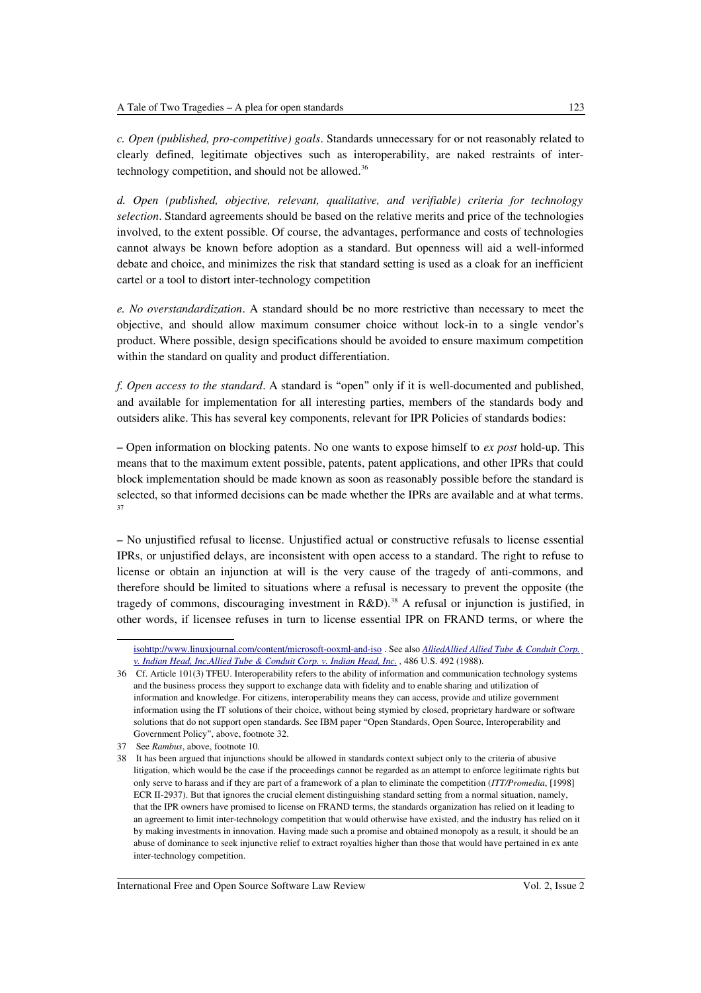*c. Open (published, pro-competitive) goals*. Standards unnecessary for or not reasonably related to clearly defined, legitimate objectives such as interoperability, are naked restraints of inter-technology competition, and should not be allowed.<sup>[36](#page-8-0)</sup>

*d. Open (published, objective, relevant, qualitative, and verifiable) criteria for technology selection*. Standard agreements should be based on the relative merits and price of the technologies involved, to the extent possible. Of course, the advantages, performance and costs of technologies cannot always be known before adoption as a standard. But openness will aid a well-informed debate and choice, and minimizes the risk that standard setting is used as a cloak for an inefficient cartel or a tool to distort inter-technology competition

*e. No overstandardization*. A standard should be no more restrictive than necessary to meet the objective, and should allow maximum consumer choice without lock-in to a single vendor's product. Where possible, design specifications should be avoided to ensure maximum competition within the standard on quality and product differentiation.

*f. Open access to the standard*. A standard is "open" only if it is well-documented and published, and available for implementation for all interesting parties, members of the standards body and outsiders alike. This has several key components, relevant for IPR Policies of standards bodies:

– Open information on blocking patents. No one wants to expose himself to *ex post* hold-up. This means that to the maximum extent possible, patents, patent applications, and other IPRs that could block implementation should be made known as soon as reasonably possible before the standard is selected, so that informed decisions can be made whether the IPRs are available and at what terms. [37](#page-8-1)

– No unjustified refusal to license. Unjustified actual or constructive refusals to license essential IPRs, or unjustified delays, are inconsistent with open access to a standard. The right to refuse to license or obtain an injunction at will is the very cause of the tragedy of anti-commons, and therefore should be limited to situations where a refusal is necessary to prevent the opposite (the tragedy of commons, discouraging investment in  $R&D$ ).<sup>[38](#page-8-2)</sup> A refusal or injunction is justified, in other words, if licensee refuses in turn to license essential IPR on FRAND terms, or where the

[iso http://www.linuxjournal.com/content/microsoft-ooxml-and-iso](http://www.linuxjournal.com/content/microsoft-ooxml-and-iso) . See also *[Allied Allied Allied Tube & Conduit Corp.](http://www.usscplus.com/online/index.asp?case=4860492)  [v. Indian Head, Inc. Allied Tube & Conduit Corp. v. Indian Head, Inc.](http://www.usscplus.com/online/index.asp?case=4860492) ,* 486 U.S. 492 (1988).

<span id="page-8-0"></span><sup>36</sup> Cf. Article 101(3) TFEU. Interoperability refers to the ability of information and communication technology systems and the business process they support to exchange data with fidelity and to enable sharing and utilization of information and knowledge. For citizens, interoperability means they can access, provide and utilize government information using the IT solutions of their choice, without being stymied by closed, proprietary hardware or software solutions that do not support open standards. See IBM paper "Open Standards, Open Source, Interoperability and Government Policy", above, footnote 32.

<span id="page-8-1"></span><sup>37</sup> See *Rambus*, above, footnote 10.

<span id="page-8-2"></span><sup>38</sup> It has been argued that injunctions should be allowed in standards context subject only to the criteria of abusive litigation, which would be the case if the proceedings cannot be regarded as an attempt to enforce legitimate rights but only serve to harass and if they are part of a framework of a plan to eliminate the competition (*ITT/Promedia*, [1998] ECR II-2937). But that ignores the crucial element distinguishing standard setting from a normal situation, namely, that the IPR owners have promised to license on FRAND terms, the standards organization has relied on it leading to an agreement to limit inter-technology competition that would otherwise have existed, and the industry has relied on it by making investments in innovation. Having made such a promise and obtained monopoly as a result, it should be an abuse of dominance to seek injunctive relief to extract royalties higher than those that would have pertained in ex ante inter-technology competition.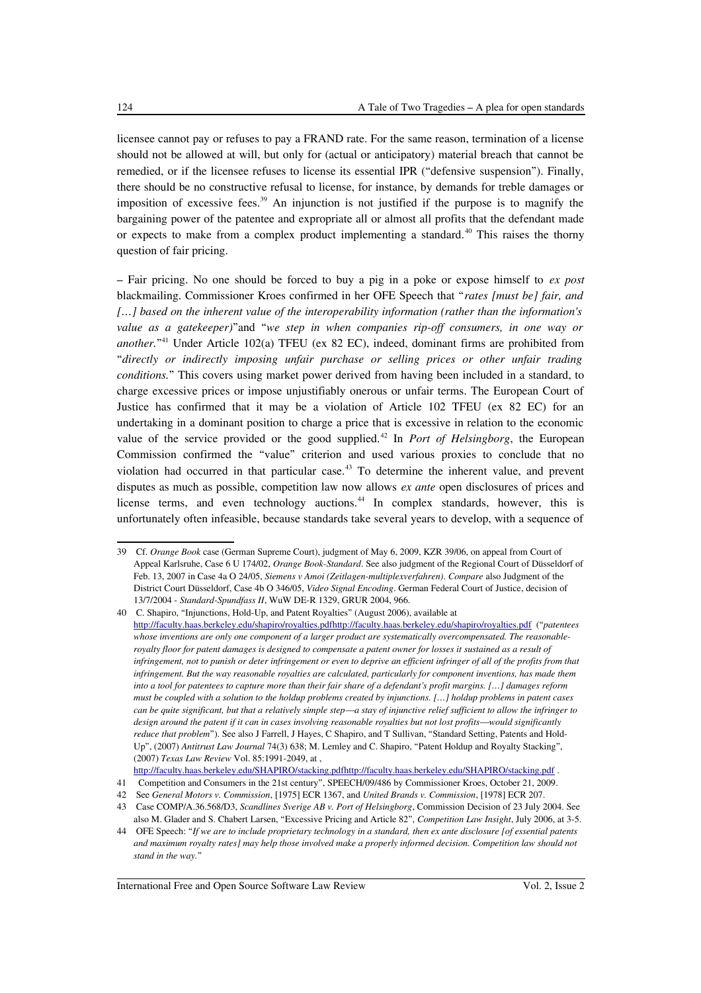licensee cannot pay or refuses to pay a FRAND rate. For the same reason, termination of a license should not be allowed at will, but only for (actual or anticipatory) material breach that cannot be remedied, or if the licensee refuses to license its essential IPR ("defensive suspension"). Finally, there should be no constructive refusal to license, for instance, by demands for treble damages or imposition of excessive fees. $39$  An injunction is not justified if the purpose is to magnify the bargaining power of the patentee and expropriate all or almost all profits that the defendant made or expects to make from a complex product implementing a standard.<sup>[40](#page-9-1)</sup> This raises the thorny question of fair pricing.

– Fair pricing. No one should be forced to buy a pig in a poke or expose himself to *ex post* blackmailing. Commissioner Kroes confirmed in her OFE Speech that "*rates [must be] fair, and […] based on the inherent value of the interoperability information (rather than the information's value as a gatekeeper)*"and "*we step in when companies rip-off consumers, in one way or another.*" [41](#page-9-2) Under Article 102(a) TFEU (ex 82 EC), indeed, dominant firms are prohibited from "*directly or indirectly imposing unfair purchase or selling prices or other unfair trading conditions.*" This covers using market power derived from having been included in a standard, to charge excessive prices or impose unjustifiably onerous or unfair terms. The European Court of Justice has confirmed that it may be a violation of Article 102 TFEU (ex 82 EC) for an undertaking in a dominant position to charge a price that is excessive in relation to the economic value of the service provided or the good supplied.<sup>[42](#page-9-3)</sup> In *Port of Helsingborg*, the European Commission confirmed the "value" criterion and used various proxies to conclude that no violation had occurred in that particular case.<sup>[43](#page-9-4)</sup> To determine the inherent value, and prevent disputes as much as possible, competition law now allows *ex ante* open disclosures of prices and license terms, and even technology auctions.<sup>[44](#page-9-5)</sup> In complex standards, however, this is unfortunately often infeasible, because standards take several years to develop, with a sequence of

<span id="page-9-0"></span><sup>39</sup> Cf. *Orange Book* case (German Supreme Court), judgment of May 6, 2009, KZR 39/06, on appeal from Court of Appeal Karlsruhe, Case 6 U 174/02, *Orange Book-Standard*. See also judgment of the Regional Court of Düsseldorf of Feb. 13, 2007 in Case 4a O 24/05, *Siemens v Amoi (Zeitlagen-multiplexverfahren)*. *Compare* also Judgment of the District Court Düsseldorf, Case 4b O 346/05, *Video Signal Encoding*. German Federal Court of Justice, decision of 13/7/2004 - *Standard-Spundfass II*, WuW DE-R 1329, GRUR 2004, 966.

<span id="page-9-1"></span><sup>40</sup> C. Shapiro, "Injunctions, Hold-Up, and Patent Royalties" (August 2006), available at  [http://faculty.haas.berkeley.edu/shapiro/royalties.pdf http://faculty.haas.berkeley.edu/shapiro/royalties.pdf](http://faculty.haas.berkeley.edu/shapiro/royalties.pdf) ("*patentees whose inventions are only one component of a larger product are systematically overcompensated. The reasonableroyalty floor for patent damages is designed to compensate a patent owner for losses it sustained as a result of infringement, not to punish or deter infringement or even to deprive an efficient infringer of all of the profits from that infringement. But the way reasonable royalties are calculated, particularly for component inventions, has made them into a tool for patentees to capture more than their fair share of a defendant's profit margins. […] damages reform must be coupled with a solution to the holdup problems created by injunctions. […] holdup problems in patent cases can be quite significant, but that a relatively simple step—a stay of injunctive relief sufficient to allow the infringer to design around the patent if it can in cases involving reasonable royalties but not lost profits—would significantly reduce that problem*"). See also J Farrell, J Hayes, C Shapiro, and T Sullivan, "Standard Setting, Patents and Hold-Up", (2007) *Antitrust Law Journal* 74(3) 638; M. Lemley and C. Shapiro, "Patent Holdup and Royalty Stacking", (2007) *Texas Law Review* Vol. 85:1991-2049, at ,

http://faculty.haas.berkeley.edu/SHAPIRO/stacking.pdfhttp://faculty.haas.berkeley.edu/SHAPIRO/stacking.pdf .

<span id="page-9-2"></span><sup>41</sup> Competition and Consumers in the 21st century", SPEECH/09/486 by Commissioner Kroes, October 21, 2009.

<span id="page-9-3"></span><sup>42</sup> See *General Motors v. Commission*, [1975] ECR 1367, and *United Brands v. Commission*, [1978] ECR 207.

<span id="page-9-4"></span><sup>43</sup> Case COMP/A.36.568/D3, *Scandlines Sverige AB v. Port of Helsingborg*, Commission Decision of 23 July 2004. See also M. Glader and S. Chabert Larsen, "Excessive Pricing and Article 82", *Competition Law Insight*, July 2006, at 3-5.

<span id="page-9-5"></span><sup>44</sup> OFE Speech: "*If we are to include proprietary technology in a standard, then ex ante disclosure [of essential patents and maximum royalty rates] may help those involved make a properly informed decision. Competition law should not stand in the way.*"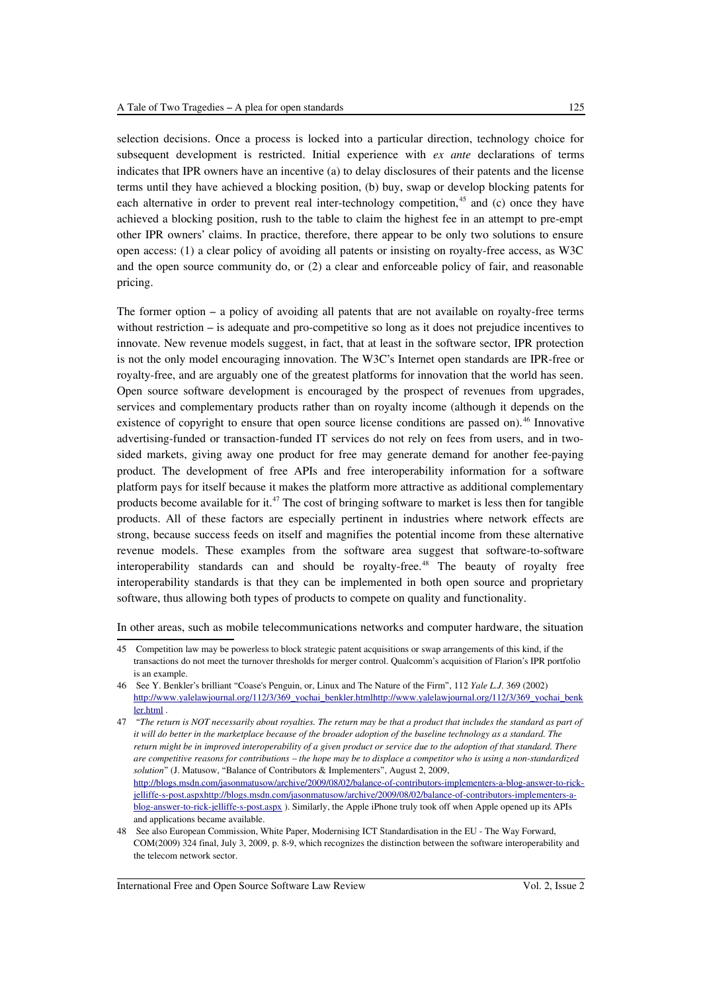selection decisions. Once a process is locked into a particular direction, technology choice for subsequent development is restricted. Initial experience with *ex ante* declarations of terms indicates that IPR owners have an incentive (a) to delay disclosures of their patents and the license terms until they have achieved a blocking position, (b) buy, swap or develop blocking patents for each alternative in order to prevent real inter-technology competition,<sup>[45](#page-10-0)</sup> and (c) once they have achieved a blocking position, rush to the table to claim the highest fee in an attempt to pre-empt other IPR owners' claims. In practice, therefore, there appear to be only two solutions to ensure open access: (1) a clear policy of avoiding all patents or insisting on royalty-free access, as W3C and the open source community do, or (2) a clear and enforceable policy of fair, and reasonable pricing.

The former option – a policy of avoiding all patents that are not available on royalty-free terms without restriction – is adequate and pro-competitive so long as it does not prejudice incentives to innovate. New revenue models suggest, in fact, that at least in the software sector, IPR protection is not the only model encouraging innovation. The W3C's Internet open standards are IPR-free or royalty-free, and are arguably one of the greatest platforms for innovation that the world has seen. Open source software development is encouraged by the prospect of revenues from upgrades, services and complementary products rather than on royalty income (although it depends on the existence of copyright to ensure that open source license conditions are passed on). [46](#page-10-1) Innovative advertising-funded or transaction-funded IT services do not rely on fees from users, and in twosided markets, giving away one product for free may generate demand for another fee-paying product. The development of free APIs and free interoperability information for a software platform pays for itself because it makes the platform more attractive as additional complementary products become available for it.<sup>[47](#page-10-2)</sup> The cost of bringing software to market is less then for tangible products. All of these factors are especially pertinent in industries where network effects are strong, because success feeds on itself and magnifies the potential income from these alternative revenue models. These examples from the software area suggest that software-to-software interoperability standards can and should be royalty-free.<sup>[48](#page-10-3)</sup> The beauty of royalty free interoperability standards is that they can be implemented in both open source and proprietary software, thus allowing both types of products to compete on quality and functionality.

In other areas, such as mobile telecommunications networks and computer hardware, the situation

<span id="page-10-0"></span><sup>45</sup> Competition law may be powerless to block strategic patent acquisitions or swap arrangements of this kind, if the transactions do not meet the turnover thresholds for merger control. Qualcomm's acquisition of Flarion's IPR portfolio is an example.

<span id="page-10-1"></span><sup>46</sup> See Y. Benkler's brilliant "Coase's Penguin, or, Linux and The Nature of the Firm", 112 *Yale L.J.* 369 (2002) http://www.yalelawjournal.org/112/3/369\_yochai\_benkler.html http://www.yalelawjournal.org/112/3/369\_yochai\_benk [ler.html](http://www.yalelawjournal.org/112/3/369_yochai_benkler.html) .

<span id="page-10-2"></span><sup>47 &</sup>quot;*The return is NOT necessarily about royalties. The return may be that a product that includes the standard as part of it will do better in the marketplace because of the broader adoption of the baseline technology as a standard. The return might be in improved interoperability of a given product or service due to the adoption of that standard. There are competitive reasons for contributions – the hope may be to displace a competitor who is using a non-standardized solution*" (J. Matusow, "Balance of Contributors & Implementers", August 2, 2009, [http://blogs.msdn.com/jasonmatusow/archive/2009/08/02/balance-of-contributors-implementers-a-blog-answer-to-rick](http://blogs.msdn.com/jasonmatusow/archive/2009/08/02/balance-of-contributors-implementers-a-blog-answer-to-rick-jelliffe-s-post.aspx)  [jelliffe-s-post.aspx http://blogs.msdn.com/jasonmatusow/archive/2009/08/02/balance-of-contributors-implementers-a](http://blogs.msdn.com/jasonmatusow/archive/2009/08/02/balance-of-contributors-implementers-a-blog-answer-to-rick-jelliffe-s-post.aspx)[blog-answer-to-rick-jelliffe-s-post.aspx](http://blogs.msdn.com/jasonmatusow/archive/2009/08/02/balance-of-contributors-implementers-a-blog-answer-to-rick-jelliffe-s-post.aspx) ). Similarly, the Apple iPhone truly took off when Apple opened up its APIs and applications became available.

<span id="page-10-3"></span><sup>48</sup> See also European Commission, White Paper, Modernising ICT Standardisation in the EU - The Way Forward, COM(2009) 324 final, July 3, 2009, p. 8-9, which recognizes the distinction between the software interoperability and the telecom network sector.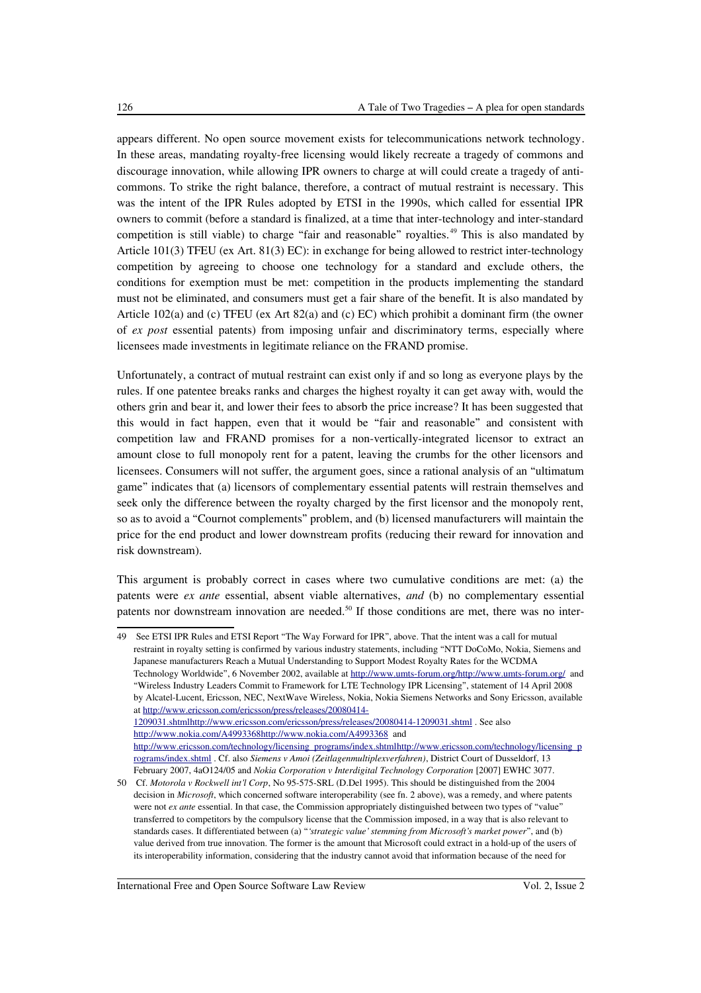appears different. No open source movement exists for telecommunications network technology. In these areas, mandating royalty-free licensing would likely recreate a tragedy of commons and discourage innovation, while allowing IPR owners to charge at will could create a tragedy of anticommons. To strike the right balance, therefore, a contract of mutual restraint is necessary. This was the intent of the IPR Rules adopted by ETSI in the 1990s, which called for essential IPR owners to commit (before a standard is finalized, at a time that inter-technology and inter-standard competition is still viable) to charge "fair and reasonable" royalties. [49](#page-11-0) This is also mandated by Article 101(3) TFEU (ex Art. 81(3) EC): in exchange for being allowed to restrict inter-technology competition by agreeing to choose one technology for a standard and exclude others, the conditions for exemption must be met: competition in the products implementing the standard must not be eliminated, and consumers must get a fair share of the benefit. It is also mandated by Article 102(a) and (c) TFEU (ex Art 82(a) and (c) EC) which prohibit a dominant firm (the owner of *ex post* essential patents) from imposing unfair and discriminatory terms, especially where licensees made investments in legitimate reliance on the FRAND promise.

Unfortunately, a contract of mutual restraint can exist only if and so long as everyone plays by the rules. If one patentee breaks ranks and charges the highest royalty it can get away with, would the others grin and bear it, and lower their fees to absorb the price increase? It has been suggested that this would in fact happen, even that it would be "fair and reasonable" and consistent with competition law and FRAND promises for a non-vertically-integrated licensor to extract an amount close to full monopoly rent for a patent, leaving the crumbs for the other licensors and licensees. Consumers will not suffer, the argument goes, since a rational analysis of an "ultimatum game" indicates that (a) licensors of complementary essential patents will restrain themselves and seek only the difference between the royalty charged by the first licensor and the monopoly rent, so as to avoid a "Cournot complements" problem, and (b) licensed manufacturers will maintain the price for the end product and lower downstream profits (reducing their reward for innovation and risk downstream).

This argument is probably correct in cases where two cumulative conditions are met: (a) the patents were *ex ante* essential, absent viable alternatives, *and* (b) no complementary essential patents nor downstream innovation are needed.<sup>[50](#page-11-1)</sup> If those conditions are met, there was no inter-

<span id="page-11-0"></span><sup>49</sup> See ETSI IPR Rules and ETSI Report "The Way Forward for IPR", above. That the intent was a call for mutual restraint in royalty setting is confirmed by various industry statements, including "NTT DoCoMo, Nokia, Siemens and Japanese manufacturers Reach a Mutual Understanding to Support Modest Royalty Rates for the WCDMA Technology Worldwide", 6 November 2002, available at http://www.umts-forum.org/http://www.umts-forum.org/ and "Wireless Industry Leaders Commit to Framework for LTE Technology IPR Licensing", statement of 14 April 2008 by Alcatel-Lucent, Ericsson, NEC, NextWave Wireless, Nokia, Nokia Siemens Networks and Sony Ericsson, available at [http://www.ericsson.com/ericsson/press/releases/20080414-](http://www.ericsson.com/ericsson/press/releases/20080414-1209031.shtml)  [1209031.shtml http://www.ericsson.com/ericsson/press/releases/20080414-1209031.shtml](http://www.ericsson.com/ericsson/press/releases/20080414-1209031.shtml) . See also  [http://www.nokia.com/A4993368 http://www.nokia.com/A4993368](http://www.nokia.com/A4993368) and  [http://www.ericsson.com/technology/licensing\\_programs/index.shtml http://www.ericsson.com/technology/licensing\\_p](http://www.ericsson.com/technology/licensing_programs/index.shtml) [rograms/index.shtml](http://www.ericsson.com/technology/licensing_programs/index.shtml) . Cf. also *Siemens v Amoi (Zeitlagenmultiplexverfahren)*, District Court of Dusseldorf, 13 February 2007, 4aO124/05 and *Nokia Corporation v Interdigital Technology Corporation* [2007] EWHC 3077.

<span id="page-11-1"></span><sup>50</sup> Cf. *Motorola v Rockwell int'l Corp*, No 95-575-SRL (D.Del 1995). This should be distinguished from the 2004 decision in *Microsoft*, which concerned software interoperability (see fn. 2 above), was a remedy, and where patents were not *ex ante* essential. In that case, the Commission appropriately distinguished between two types of "value" transferred to competitors by the compulsory license that the Commission imposed, in a way that is also relevant to standards cases. It differentiated between (a) "*'strategic value' stemming from Microsoft's market power*", and (b) value derived from true innovation. The former is the amount that Microsoft could extract in a hold-up of the users of its interoperability information, considering that the industry cannot avoid that information because of the need for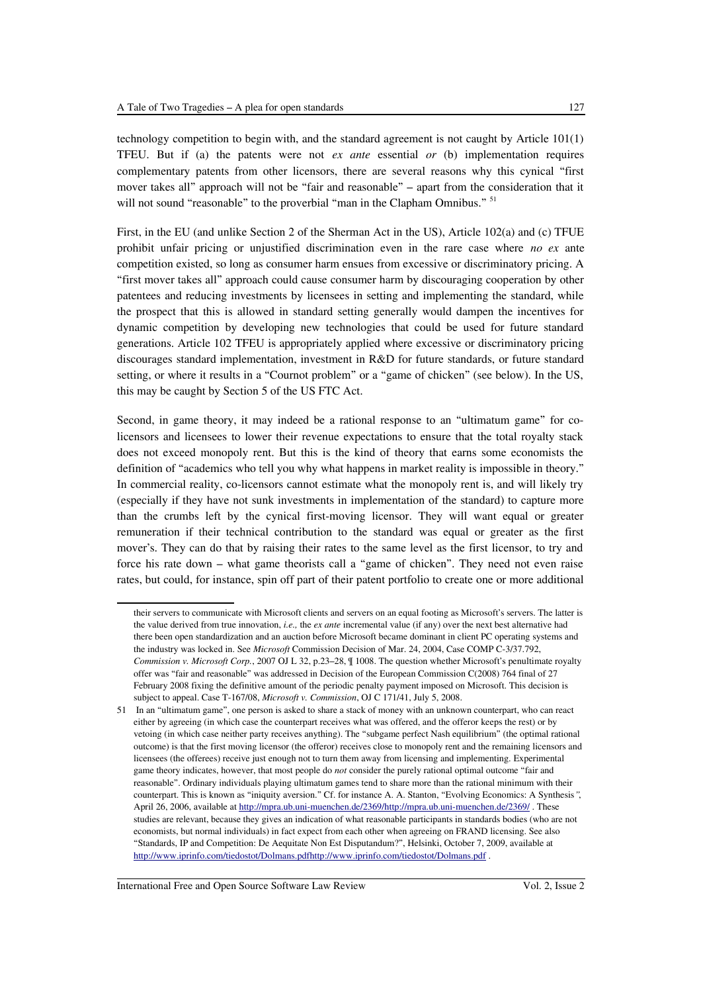technology competition to begin with, and the standard agreement is not caught by Article 101(1) TFEU. But if (a) the patents were not *ex ante* essential *or* (b) implementation requires complementary patents from other licensors, there are several reasons why this cynical "first mover takes all" approach will not be "fair and reasonable" – apart from the consideration that it will not sound "reasonable" to the proverbial "man in the Clapham Omnibus." <sup>[51](#page-12-0)</sup>

First, in the EU (and unlike Section 2 of the Sherman Act in the US), Article 102(a) and (c) TFUE prohibit unfair pricing or unjustified discrimination even in the rare case where *no ex* ante competition existed, so long as consumer harm ensues from excessive or discriminatory pricing. A "first mover takes all" approach could cause consumer harm by discouraging cooperation by other patentees and reducing investments by licensees in setting and implementing the standard, while the prospect that this is allowed in standard setting generally would dampen the incentives for dynamic competition by developing new technologies that could be used for future standard generations. Article 102 TFEU is appropriately applied where excessive or discriminatory pricing discourages standard implementation, investment in R&D for future standards, or future standard setting, or where it results in a "Cournot problem" or a "game of chicken" (see below). In the US, this may be caught by Section 5 of the US FTC Act.

Second, in game theory, it may indeed be a rational response to an "ultimatum game" for colicensors and licensees to lower their revenue expectations to ensure that the total royalty stack does not exceed monopoly rent. But this is the kind of theory that earns some economists the definition of "academics who tell you why what happens in market reality is impossible in theory." In commercial reality, co-licensors cannot estimate what the monopoly rent is, and will likely try (especially if they have not sunk investments in implementation of the standard) to capture more than the crumbs left by the cynical first-moving licensor. They will want equal or greater remuneration if their technical contribution to the standard was equal or greater as the first mover's. They can do that by raising their rates to the same level as the first licensor, to try and force his rate down – what game theorists call a "game of chicken". They need not even raise rates, but could, for instance, spin off part of their patent portfolio to create one or more additional

their servers to communicate with Microsoft clients and servers on an equal footing as Microsoft's servers. The latter is the value derived from true innovation, *i.e.,* the *ex ante* incremental value (if any) over the next best alternative had there been open standardization and an auction before Microsoft became dominant in client PC operating systems and the industry was locked in. See *Microsoft* Commission Decision of Mar. 24, 2004, Case COMP C-3/37.792, *Commission v. Microsoft Corp.*, 2007 OJ L 32, p.23–28, ¶ 1008. The question whether Microsoft's penultimate royalty offer was "fair and reasonable" was addressed in Decision of the European Commission C(2008) 764 final of 27 February 2008 fixing the definitive amount of the periodic penalty payment imposed on Microsoft. This decision is subject to appeal. Case T-167/08, *Microsoft v. Commission*, OJ C 171/41, July 5, 2008.

<span id="page-12-0"></span><sup>51</sup> In an "ultimatum game", one person is asked to share a stack of money with an unknown counterpart, who can react either by agreeing (in which case the counterpart receives what was offered, and the offeror keeps the rest) or by vetoing (in which case neither party receives anything). The "subgame perfect Nash equilibrium" (the optimal rational outcome) is that the first moving licensor (the offeror) receives close to monopoly rent and the remaining licensors and licensees (the offerees) receive just enough not to turn them away from licensing and implementing. Experimental game theory indicates, however, that most people do *not* consider the purely rational optimal outcome "fair and reasonable". Ordinary individuals playing ultimatum games tend to share more than the rational minimum with their counterpart. This is known as "iniquity aversion." Cf. for instance A. A. Stanton, "Evolving Economics: A Synthesis*"*, April 26, 2006, available at [http://mpra.ub.uni-muenchen.de/2369/ http://mpra.ub.uni-muenchen.de/2369/](http://mpra.ub.uni-muenchen.de/2369/) . These studies are relevant, because they gives an indication of what reasonable participants in standards bodies (who are not economists, but normal individuals) in fact expect from each other when agreeing on FRAND licensing. See also "Standards, IP and Competition: De Aequitate Non Est Disputandum?", Helsinki, October 7, 2009, available at http://www.iprinfo.com/tiedostot/Dolmans.pdfhttp://www.iprinfo.com/tiedostot/Dolmans.pdf .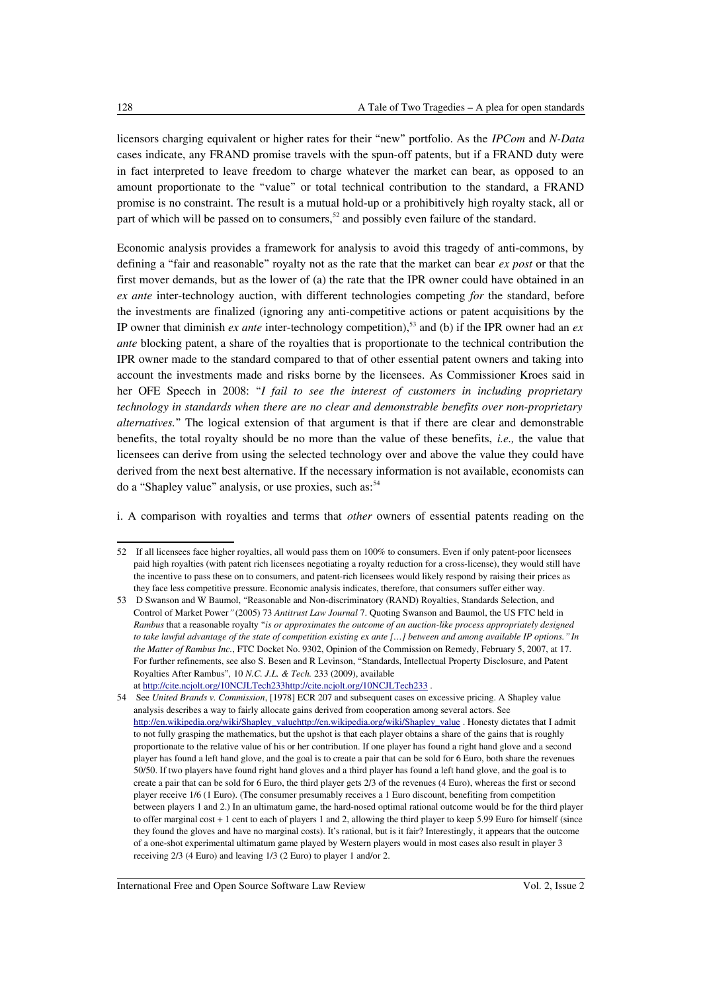licensors charging equivalent or higher rates for their "new" portfolio. As the *IPCom* and *N-Data* cases indicate, any FRAND promise travels with the spun-off patents, but if a FRAND duty were in fact interpreted to leave freedom to charge whatever the market can bear, as opposed to an amount proportionate to the "value" or total technical contribution to the standard, a FRAND promise is no constraint. The result is a mutual hold-up or a prohibitively high royalty stack, all or part of which will be passed on to consumers,<sup>[52](#page-13-0)</sup> and possibly even failure of the standard.

Economic analysis provides a framework for analysis to avoid this tragedy of anti-commons, by defining a "fair and reasonable" royalty not as the rate that the market can bear *ex post* or that the first mover demands, but as the lower of (a) the rate that the IPR owner could have obtained in an *ex ante* inter-technology auction, with different technologies competing *for* the standard, before the investments are finalized (ignoring any anti-competitive actions or patent acquisitions by the IP owner that diminish *ex ante* inter-technology competition),<sup>[53](#page-13-1)</sup> and (b) if the IPR owner had an *ex ante* blocking patent, a share of the royalties that is proportionate to the technical contribution the IPR owner made to the standard compared to that of other essential patent owners and taking into account the investments made and risks borne by the licensees. As Commissioner Kroes said in her OFE Speech in 2008: "*I fail to see the interest of customers in including proprietary technology in standards when there are no clear and demonstrable benefits over non-proprietary alternatives.*" The logical extension of that argument is that if there are clear and demonstrable benefits, the total royalty should be no more than the value of these benefits, *i.e.,* the value that licensees can derive from using the selected technology over and above the value they could have derived from the next best alternative. If the necessary information is not available, economists can do a "Shapley value" analysis, or use proxies, such as:<sup>[54](#page-13-2)</sup>

i. A comparison with royalties and terms that *other* owners of essential patents reading on the

<span id="page-13-0"></span><sup>52</sup> If all licensees face higher royalties, all would pass them on 100% to consumers. Even if only patent-poor licensees paid high royalties (with patent rich licensees negotiating a royalty reduction for a cross-license), they would still have the incentive to pass these on to consumers, and patent-rich licensees would likely respond by raising their prices as they face less competitive pressure. Economic analysis indicates, therefore, that consumers suffer either way.

<span id="page-13-1"></span><sup>53</sup> D Swanson and W Baumol, "Reasonable and Non-discriminatory (RAND) Royalties, Standards Selection, and Control of Market Power*"* (2005) 73 *Antitrust Law Journal* 7. Quoting Swanson and Baumol, the US FTC held in *Rambus* that a reasonable royalty "*is or approximates the outcome of an auction-like process appropriately designed to take lawful advantage of the state of competition existing ex ante […] between and among available IP options." In the Matter of Rambus Inc.*, FTC Docket No. 9302, Opinion of the Commission on Remedy, February 5, 2007, at 17. For further refinements, see also S. Besen and R Levinson, "Standards, Intellectual Property Disclosure, and Patent Royalties After Rambus"*,* 10 *N.C. J.L. & Tech.* 233 (2009), available at http://cite.ncjolt.org/10NCJLTech233http://cite.ncjolt.org/10NCJLTech233.

<span id="page-13-2"></span><sup>54</sup> See *United Brands v. Commission*, [1978] ECR 207 and subsequent cases on excessive pricing. A Shapley value analysis describes a way to fairly allocate gains derived from cooperation among several actors. See http://en.wikipedia.org/wiki/Shapley\_valuehttp://en.wikipedia.org/wiki/Shapley\_value . Honesty dictates that I admit to not fully grasping the mathematics, but the upshot is that each player obtains a share of the gains that is roughly proportionate to the relative value of his or her contribution. If one player has found a right hand glove and a second player has found a left hand glove, and the goal is to create a pair that can be sold for 6 Euro, both share the revenues 50/50. If two players have found right hand gloves and a third player has found a left hand glove, and the goal is to create a pair that can be sold for 6 Euro, the third player gets 2/3 of the revenues (4 Euro), whereas the first or second player receive 1/6 (1 Euro). (The consumer presumably receives a 1 Euro discount, benefiting from competition between players 1 and 2.) In an ultimatum game, the hard-nosed optimal rational outcome would be for the third player to offer marginal cost + 1 cent to each of players 1 and 2, allowing the third player to keep 5.99 Euro for himself (since they found the gloves and have no marginal costs). It's rational, but is it fair? Interestingly, it appears that the outcome of a one-shot experimental ultimatum game played by Western players would in most cases also result in player 3 receiving 2/3 (4 Euro) and leaving 1/3 (2 Euro) to player 1 and/or 2.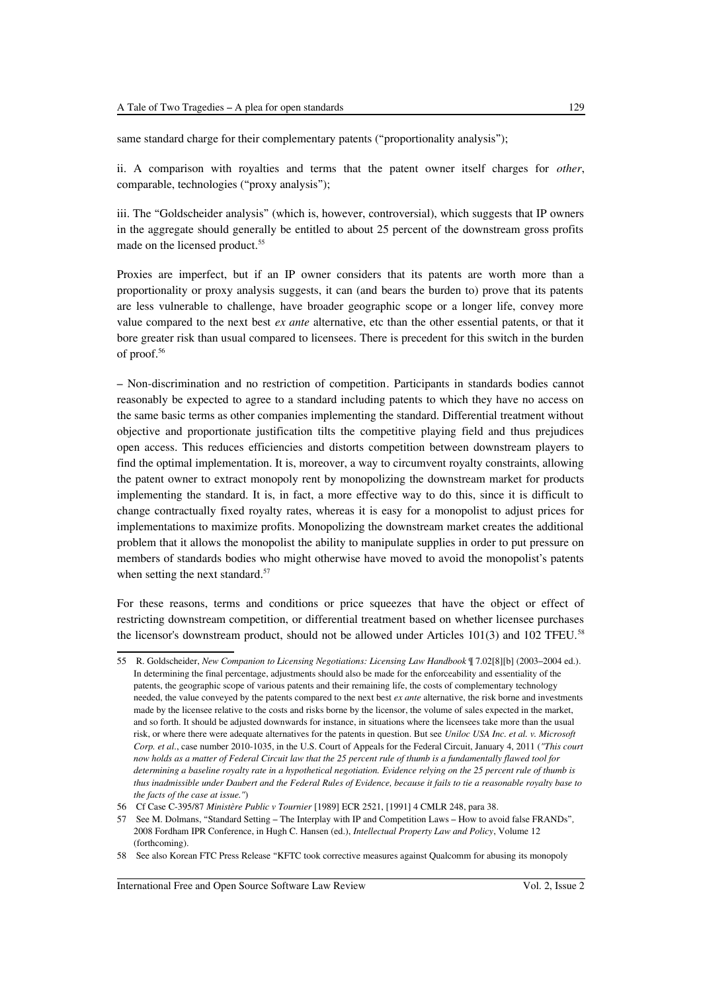same standard charge for their complementary patents ("proportionality analysis");

ii. A comparison with royalties and terms that the patent owner itself charges for *other*, comparable, technologies ("proxy analysis");

iii. The "Goldscheider analysis" (which is, however, controversial), which suggests that IP owners in the aggregate should generally be entitled to about 25 percent of the downstream gross profits made on the licensed product.<sup>[55](#page-14-0)</sup>

Proxies are imperfect, but if an IP owner considers that its patents are worth more than a proportionality or proxy analysis suggests, it can (and bears the burden to) prove that its patents are less vulnerable to challenge, have broader geographic scope or a longer life, convey more value compared to the next best *ex ante* alternative, etc than the other essential patents, or that it bore greater risk than usual compared to licensees. There is precedent for this switch in the burden of proof.[56](#page-14-1)

– Non-discrimination and no restriction of competition. Participants in standards bodies cannot reasonably be expected to agree to a standard including patents to which they have no access on the same basic terms as other companies implementing the standard. Differential treatment without objective and proportionate justification tilts the competitive playing field and thus prejudices open access. This reduces efficiencies and distorts competition between downstream players to find the optimal implementation. It is, moreover, a way to circumvent royalty constraints, allowing the patent owner to extract monopoly rent by monopolizing the downstream market for products implementing the standard. It is, in fact, a more effective way to do this, since it is difficult to change contractually fixed royalty rates, whereas it is easy for a monopolist to adjust prices for implementations to maximize profits. Monopolizing the downstream market creates the additional problem that it allows the monopolist the ability to manipulate supplies in order to put pressure on members of standards bodies who might otherwise have moved to avoid the monopolist's patents when setting the next standard.<sup>[57](#page-14-2)</sup>

For these reasons, terms and conditions or price squeezes that have the object or effect of restricting downstream competition, or differential treatment based on whether licensee purchases the licensor's downstream product, should not be allowed under Articles  $101(3)$  and  $102$  TFEU.<sup>[58](#page-14-3)</sup>

<span id="page-14-0"></span><sup>55</sup> R. Goldscheider, *New Companion to Licensing Negotiations: Licensing Law Handbook* ¶ 7.02[8][b] (2003–2004 ed.). In determining the final percentage, adjustments should also be made for the enforceability and essentiality of the patents, the geographic scope of various patents and their remaining life, the costs of complementary technology needed, the value conveyed by the patents compared to the next best *ex ante* alternative, the risk borne and investments made by the licensee relative to the costs and risks borne by the licensor, the volume of sales expected in the market, and so forth. It should be adjusted downwards for instance, in situations where the licensees take more than the usual risk, or where there were adequate alternatives for the patents in question. But see *Uniloc USA Inc. et al. v. Microsoft Corp. et al*., case number 2010-1035, in the U.S. Court of Appeals for the Federal Circuit, January 4, 2011 (*"This court now holds as a matter of Federal Circuit law that the 25 percent rule of thumb is a fundamentally flawed tool for determining a baseline royalty rate in a hypothetical negotiation. Evidence relying on the 25 percent rule of thumb is thus inadmissible under Daubert and the Federal Rules of Evidence, because it fails to tie a reasonable royalty base to the facts of the case at issue."*)

<span id="page-14-1"></span><sup>56</sup> Cf Case C-395/87 *Ministère Public v Tournier* [1989] ECR 2521, [1991] 4 CMLR 248, para 38.

<span id="page-14-2"></span><sup>57</sup> See M. Dolmans, "Standard Setting – The Interplay with IP and Competition Laws – How to avoid false FRANDs"*,* 2008 Fordham IPR Conference, in Hugh C. Hansen (ed.), *Intellectual Property Law and Policy*, Volume 12 (forthcoming).

<span id="page-14-3"></span><sup>58</sup> See also Korean FTC Press Release "KFTC took corrective measures against Qualcomm for abusing its monopoly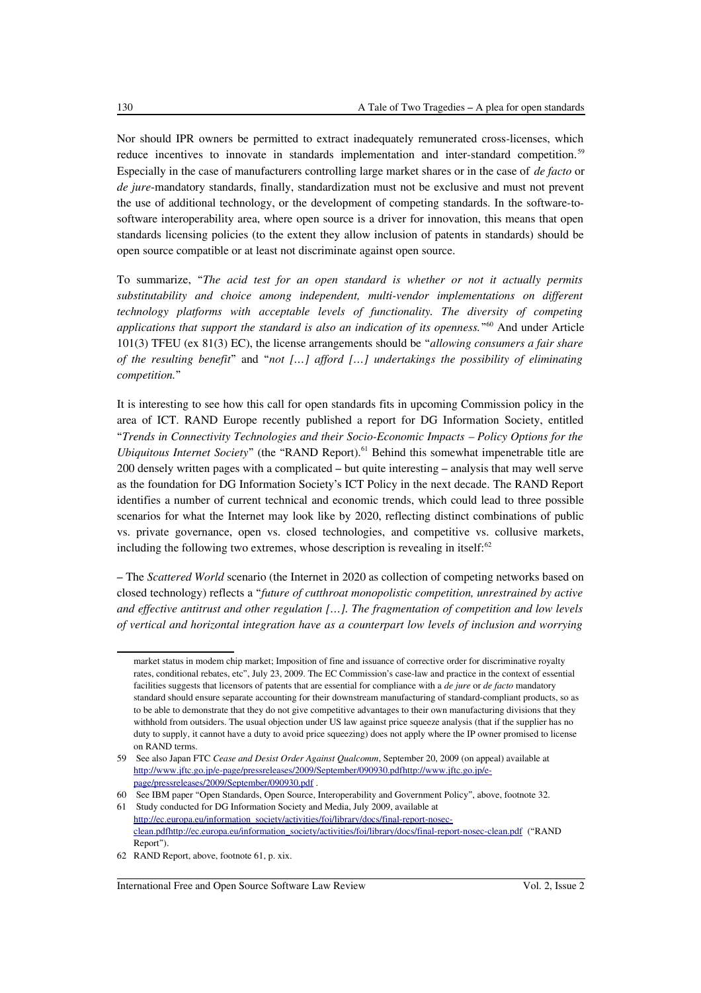Nor should IPR owners be permitted to extract inadequately remunerated cross-licenses, which reduce incentives to innovate in standards implementation and inter-standard competition.<sup>[59](#page-15-0)</sup> Especially in the case of manufacturers controlling large market shares or in the case of *de facto* or *de jure*-mandatory standards, finally, standardization must not be exclusive and must not prevent the use of additional technology, or the development of competing standards. In the software-tosoftware interoperability area, where open source is a driver for innovation, this means that open standards licensing policies (to the extent they allow inclusion of patents in standards) should be open source compatible or at least not discriminate against open source.

To summarize, "*The acid test for an open standard is whether or not it actually permits substitutability and choice among independent, multi-vendor implementations on different technology platforms with acceptable levels of functionality. The diversity of competing applications that support the standard is also an indication of its openness.*" [60](#page-15-1) And under Article 101(3) TFEU (ex 81(3) EC), the license arrangements should be "*allowing consumers a fair share of the resulting benefit*" and "*not […] afford […] undertakings the possibility of eliminating competition.*"

It is interesting to see how this call for open standards fits in upcoming Commission policy in the area of ICT. RAND Europe recently published a report for DG Information Society, entitled "*Trends in Connectivity Technologies and their Socio-Economic Impacts – Policy Options for the Ubiquitous Internet Society*" (the "RAND Report).<sup>[61](#page-15-2)</sup> Behind this somewhat impenetrable title are 200 densely written pages with a complicated – but quite interesting – analysis that may well serve as the foundation for DG Information Society's ICT Policy in the next decade. The RAND Report identifies a number of current technical and economic trends, which could lead to three possible scenarios for what the Internet may look like by 2020, reflecting distinct combinations of public vs. private governance, open vs. closed technologies, and competitive vs. collusive markets, including the following two extremes, whose description is revealing in itself: $62$ 

– The *Scattered World* scenario (the Internet in 2020 as collection of competing networks based on closed technology) reflects a "*future of cutthroat monopolistic competition, unrestrained by active and effective antitrust and other regulation […]. The fragmentation of competition and low levels of vertical and horizontal integration have as a counterpart low levels of inclusion and worrying*

market status in modem chip market; Imposition of fine and issuance of corrective order for discriminative royalty rates, conditional rebates, etc", July 23, 2009. The EC Commission's case-law and practice in the context of essential facilities suggests that licensors of patents that are essential for compliance with a *de jure* or *de facto* mandatory standard should ensure separate accounting for their downstream manufacturing of standard-compliant products, so as to be able to demonstrate that they do not give competitive advantages to their own manufacturing divisions that they withhold from outsiders. The usual objection under US law against price squeeze analysis (that if the supplier has no duty to supply, it cannot have a duty to avoid price squeezing) does not apply where the IP owner promised to license on RAND terms.

<span id="page-15-0"></span><sup>59</sup> See also Japan FTC *Cease and Desist Order Against Qualcomm*, September 20, 2009 (on appeal) available at http://www.jftc.go.jp/e-page/pressreleases/2009/September/090930.pdfhttp://www.jftc.go.jp/e[page/pressreleases/2009/September/090930.pdf](http://www.jftc.go.jp/e-page/pressreleases/2009/September/090930.pdf) .

<span id="page-15-1"></span><sup>60</sup> See IBM paper "Open Standards, Open Source, Interoperability and Government Policy", above, footnote 32. 61 Study conducted for DG Information Society and Media, July 2009, available at

<span id="page-15-2"></span>[http://ec.europa.eu/information\\_society/activities/foi/library/docs/final-report-nosec](http://ec.europa.eu/information_society/activities/foi/library/docs/final-report-nosec-clean.pdf)  [clean.pdf http://ec.europa.eu/information\\_society/activities/foi/library/docs/final-report-nosec-clean.pdf](http://ec.europa.eu/information_society/activities/foi/library/docs/final-report-nosec-clean.pdf) ("RAND Report").

<span id="page-15-3"></span><sup>62</sup> RAND Report, above, footnote 61, p. xix.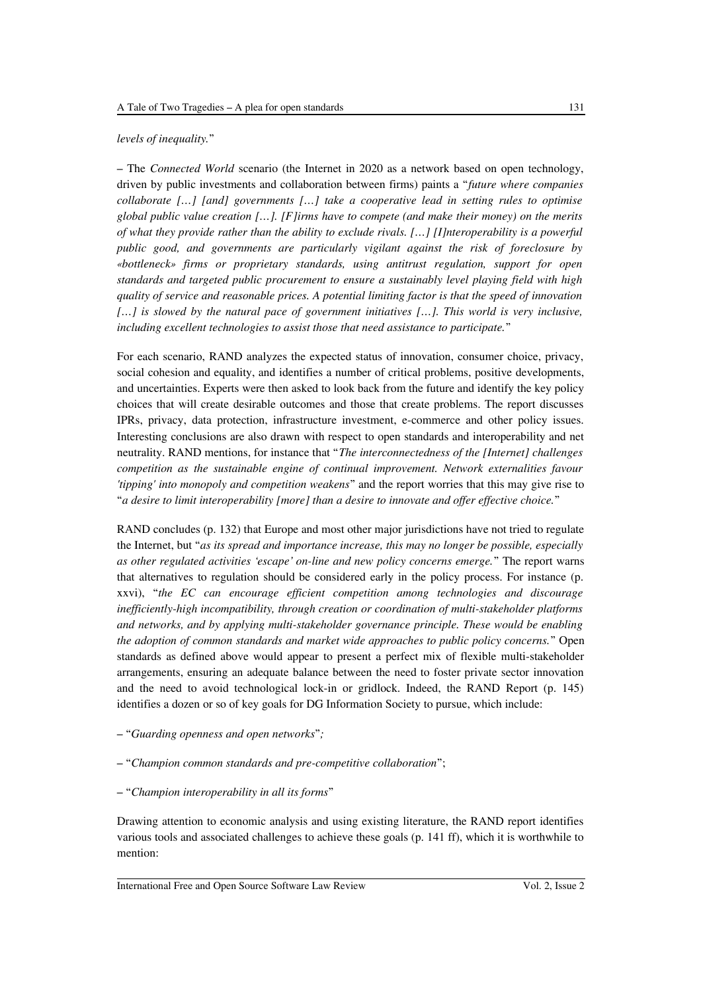#### *levels of inequality.*"

– The *Connected World* scenario (the Internet in 2020 as a network based on open technology, driven by public investments and collaboration between firms) paints a "*future where companies collaborate […] [and] governments […] take a cooperative lead in setting rules to optimise global public value creation […]. [F]irms have to compete (and make their money) on the merits of what they provide rather than the ability to exclude rivals. […] [I]nteroperability is a powerful public good, and governments are particularly vigilant against the risk of foreclosure by «bottleneck» firms or proprietary standards, using antitrust regulation, support for open standards and targeted public procurement to ensure a sustainably level playing field with high quality of service and reasonable prices. A potential limiting factor is that the speed of innovation […] is slowed by the natural pace of government initiatives […]. This world is very inclusive, including excellent technologies to assist those that need assistance to participate.*"

For each scenario, RAND analyzes the expected status of innovation, consumer choice, privacy, social cohesion and equality, and identifies a number of critical problems, positive developments, and uncertainties. Experts were then asked to look back from the future and identify the key policy choices that will create desirable outcomes and those that create problems. The report discusses IPRs, privacy, data protection, infrastructure investment, e-commerce and other policy issues. Interesting conclusions are also drawn with respect to open standards and interoperability and net neutrality. RAND mentions, for instance that "*The interconnectedness of the [Internet] challenges competition as the sustainable engine of continual improvement. Network externalities favour 'tipping' into monopoly and competition weakens*" and the report worries that this may give rise to "*a desire to limit interoperability [more] than a desire to innovate and offer effective choice.*"

RAND concludes (p. 132) that Europe and most other major jurisdictions have not tried to regulate the Internet, but "*as its spread and importance increase, this may no longer be possible, especially as other regulated activities 'escape' on-line and new policy concerns emerge.*" The report warns that alternatives to regulation should be considered early in the policy process. For instance (p. xxvi), "*the EC can encourage efficient competition among technologies and discourage inefficiently-high incompatibility, through creation or coordination of multi-stakeholder platforms and networks, and by applying multi-stakeholder governance principle. These would be enabling the adoption of common standards and market wide approaches to public policy concerns.*" Open standards as defined above would appear to present a perfect mix of flexible multi-stakeholder arrangements, ensuring an adequate balance between the need to foster private sector innovation and the need to avoid technological lock-in or gridlock. Indeed, the RAND Report (p. 145) identifies a dozen or so of key goals for DG Information Society to pursue, which include:

- "*Guarding openness and open networks*"*;*
- "*Champion common standards and pre-competitive collaboration*";

#### – "*Champion interoperability in all its forms*"

Drawing attention to economic analysis and using existing literature, the RAND report identifies various tools and associated challenges to achieve these goals (p. 141 ff), which it is worthwhile to mention: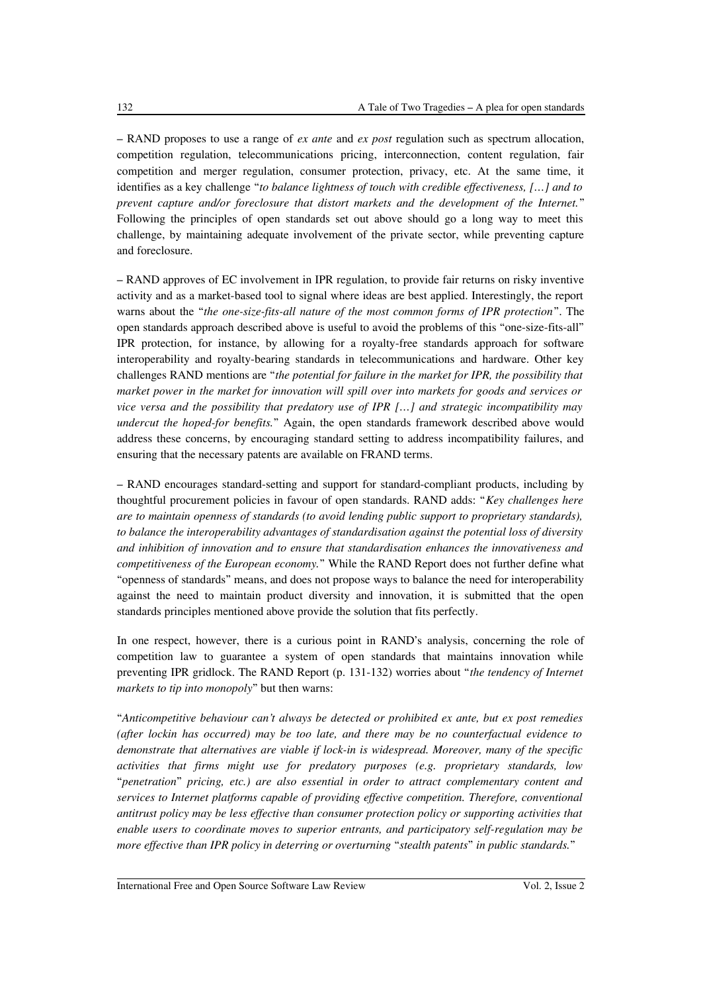– RAND proposes to use a range of *ex ante* and *ex post* regulation such as spectrum allocation, competition regulation, telecommunications pricing, interconnection, content regulation, fair competition and merger regulation, consumer protection, privacy, etc. At the same time, it identifies as a key challenge "*to balance lightness of touch with credible effectiveness, […] and to prevent capture and/or foreclosure that distort markets and the development of the Internet.*" Following the principles of open standards set out above should go a long way to meet this challenge, by maintaining adequate involvement of the private sector, while preventing capture and foreclosure.

– RAND approves of EC involvement in IPR regulation, to provide fair returns on risky inventive activity and as a market-based tool to signal where ideas are best applied. Interestingly, the report warns about the "*the one-size-fits-all nature of the most common forms of IPR protection*". The open standards approach described above is useful to avoid the problems of this "one-size-fits-all" IPR protection, for instance, by allowing for a royalty-free standards approach for software interoperability and royalty-bearing standards in telecommunications and hardware. Other key challenges RAND mentions are "*the potential for failure in the market for IPR, the possibility that market power in the market for innovation will spill over into markets for goods and services or vice versa and the possibility that predatory use of IPR […] and strategic incompatibility may undercut the hoped-for benefits.*" Again, the open standards framework described above would address these concerns, by encouraging standard setting to address incompatibility failures, and ensuring that the necessary patents are available on FRAND terms.

– RAND encourages standard-setting and support for standard-compliant products, including by thoughtful procurement policies in favour of open standards. RAND adds: "*Key challenges here are to maintain openness of standards (to avoid lending public support to proprietary standards), to balance the interoperability advantages of standardisation against the potential loss of diversity and inhibition of innovation and to ensure that standardisation enhances the innovativeness and competitiveness of the European economy.*" While the RAND Report does not further define what "openness of standards" means, and does not propose ways to balance the need for interoperability against the need to maintain product diversity and innovation, it is submitted that the open standards principles mentioned above provide the solution that fits perfectly.

In one respect, however, there is a curious point in RAND's analysis, concerning the role of competition law to guarantee a system of open standards that maintains innovation while preventing IPR gridlock. The RAND Report (p. 131-132) worries about "*the tendency of Internet markets to tip into monopoly*" but then warns:

"*Anticompetitive behaviour can't always be detected or prohibited ex ante, but ex post remedies (after lockin has occurred) may be too late, and there may be no counterfactual evidence to demonstrate that alternatives are viable if lock-in is widespread. Moreover, many of the specific activities that firms might use for predatory purposes (e.g. proprietary standards, low* "*penetration*" *pricing, etc.) are also essential in order to attract complementary content and services to Internet platforms capable of providing effective competition. Therefore, conventional antitrust policy may be less effective than consumer protection policy or supporting activities that enable users to coordinate moves to superior entrants, and participatory self-regulation may be more effective than IPR policy in deterring or overturning* "*stealth patents*" *in public standards.*"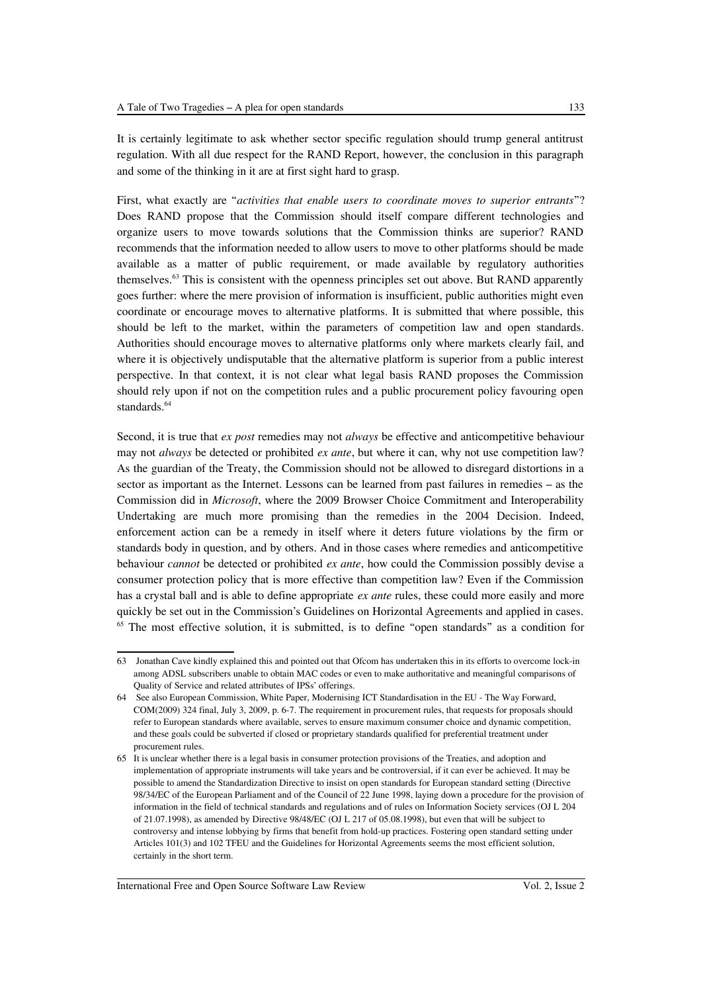It is certainly legitimate to ask whether sector specific regulation should trump general antitrust regulation. With all due respect for the RAND Report, however, the conclusion in this paragraph and some of the thinking in it are at first sight hard to grasp.

First, what exactly are "*activities that enable users to coordinate moves to superior entrants*"? Does RAND propose that the Commission should itself compare different technologies and organize users to move towards solutions that the Commission thinks are superior? RAND recommends that the information needed to allow users to move to other platforms should be made available as a matter of public requirement, or made available by regulatory authorities themselves.[63](#page-18-0) This is consistent with the openness principles set out above. But RAND apparently goes further: where the mere provision of information is insufficient, public authorities might even coordinate or encourage moves to alternative platforms. It is submitted that where possible, this should be left to the market, within the parameters of competition law and open standards. Authorities should encourage moves to alternative platforms only where markets clearly fail, and where it is objectively undisputable that the alternative platform is superior from a public interest perspective. In that context, it is not clear what legal basis RAND proposes the Commission should rely upon if not on the competition rules and a public procurement policy favouring open standards.<sup>[64](#page-18-1)</sup>

Second, it is true that *ex post* remedies may not *always* be effective and anticompetitive behaviour may not *always* be detected or prohibited *ex ante*, but where it can, why not use competition law? As the guardian of the Treaty, the Commission should not be allowed to disregard distortions in a sector as important as the Internet. Lessons can be learned from past failures in remedies – as the Commission did in *Microsoft*, where the 2009 Browser Choice Commitment and Interoperability Undertaking are much more promising than the remedies in the 2004 Decision. Indeed, enforcement action can be a remedy in itself where it deters future violations by the firm or standards body in question, and by others. And in those cases where remedies and anticompetitive behaviour *cannot* be detected or prohibited *ex ante*, how could the Commission possibly devise a consumer protection policy that is more effective than competition law? Even if the Commission has a crystal ball and is able to define appropriate *ex ante* rules, these could more easily and more quickly be set out in the Commission's Guidelines on Horizontal Agreements and applied in cases. <sup>[65](#page-18-2)</sup> The most effective solution, it is submitted, is to define "open standards" as a condition for

<span id="page-18-0"></span><sup>63</sup> Jonathan Cave kindly explained this and pointed out that Ofcom has undertaken this in its efforts to overcome lock-in among ADSL subscribers unable to obtain MAC codes or even to make authoritative and meaningful comparisons of Quality of Service and related attributes of IPSs' offerings.

<span id="page-18-1"></span><sup>64</sup> See also European Commission, White Paper, Modernising ICT Standardisation in the EU - The Way Forward, COM(2009) 324 final, July 3, 2009, p. 6-7. The requirement in procurement rules, that requests for proposals should refer to European standards where available, serves to ensure maximum consumer choice and dynamic competition, and these goals could be subverted if closed or proprietary standards qualified for preferential treatment under procurement rules.

<span id="page-18-2"></span><sup>65</sup> It is unclear whether there is a legal basis in consumer protection provisions of the Treaties, and adoption and implementation of appropriate instruments will take years and be controversial, if it can ever be achieved. It may be possible to amend the Standardization Directive to insist on open standards for European standard setting (Directive 98/34/EC of the European Parliament and of the Council of 22 June 1998, laying down a procedure for the provision of information in the field of technical standards and regulations and of rules on Information Society services (OJ L 204 of 21.07.1998), as amended by Directive 98/48/EC (OJ L 217 of 05.08.1998), but even that will be subject to controversy and intense lobbying by firms that benefit from hold-up practices. Fostering open standard setting under Articles 101(3) and 102 TFEU and the Guidelines for Horizontal Agreements seems the most efficient solution, certainly in the short term.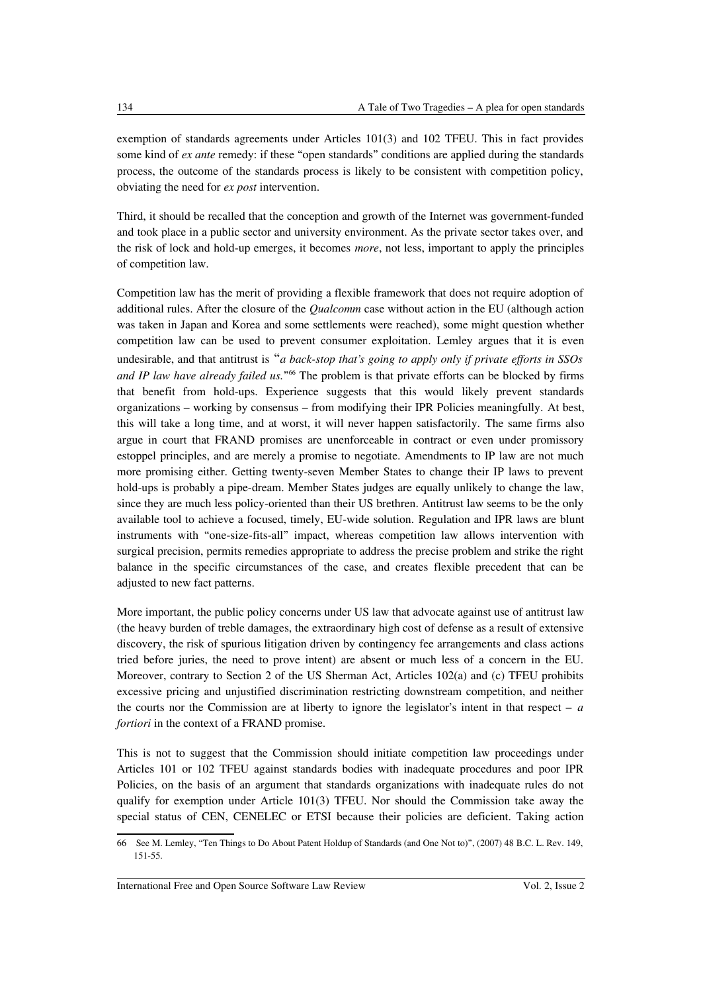exemption of standards agreements under Articles 101(3) and 102 TFEU. This in fact provides some kind of *ex ante* remedy: if these "open standards" conditions are applied during the standards process, the outcome of the standards process is likely to be consistent with competition policy, obviating the need for *ex post* intervention.

Third, it should be recalled that the conception and growth of the Internet was government-funded and took place in a public sector and university environment. As the private sector takes over, and the risk of lock and hold-up emerges, it becomes *more*, not less, important to apply the principles of competition law.

Competition law has the merit of providing a flexible framework that does not require adoption of additional rules. After the closure of the *Qualcomm* case without action in the EU (although action was taken in Japan and Korea and some settlements were reached), some might question whether competition law can be used to prevent consumer exploitation. Lemley argues that it is even undesirable, and that antitrust is "*a back-stop that's going to apply only if private efforts in SSOs and IP law have already failed us.*" [66](#page-19-0) The problem is that private efforts can be blocked by firms that benefit from hold-ups. Experience suggests that this would likely prevent standards organizations – working by consensus – from modifying their IPR Policies meaningfully. At best, this will take a long time, and at worst, it will never happen satisfactorily. The same firms also argue in court that FRAND promises are unenforceable in contract or even under promissory estoppel principles, and are merely a promise to negotiate. Amendments to IP law are not much more promising either. Getting twenty-seven Member States to change their IP laws to prevent hold-ups is probably a pipe-dream. Member States judges are equally unlikely to change the law, since they are much less policy-oriented than their US brethren. Antitrust law seems to be the only available tool to achieve a focused, timely, EU-wide solution. Regulation and IPR laws are blunt instruments with "one-size-fits-all" impact, whereas competition law allows intervention with surgical precision, permits remedies appropriate to address the precise problem and strike the right balance in the specific circumstances of the case, and creates flexible precedent that can be adjusted to new fact patterns.

More important, the public policy concerns under US law that advocate against use of antitrust law (the heavy burden of treble damages, the extraordinary high cost of defense as a result of extensive discovery, the risk of spurious litigation driven by contingency fee arrangements and class actions tried before juries, the need to prove intent) are absent or much less of a concern in the EU. Moreover, contrary to Section 2 of the US Sherman Act, Articles 102(a) and (c) TFEU prohibits excessive pricing and unjustified discrimination restricting downstream competition, and neither the courts nor the Commission are at liberty to ignore the legislator's intent in that respect – *a fortiori* in the context of a FRAND promise.

This is not to suggest that the Commission should initiate competition law proceedings under Articles 101 or 102 TFEU against standards bodies with inadequate procedures and poor IPR Policies, on the basis of an argument that standards organizations with inadequate rules do not qualify for exemption under Article  $101(3)$  TFEU. Nor should the Commission take away the special status of CEN, CENELEC or ETSI because their policies are deficient. Taking action

<span id="page-19-0"></span><sup>66</sup> See M. Lemley, "Ten Things to Do About Patent Holdup of Standards (and One Not to)", (2007) 48 B.C. L. Rev. 149, 151-55.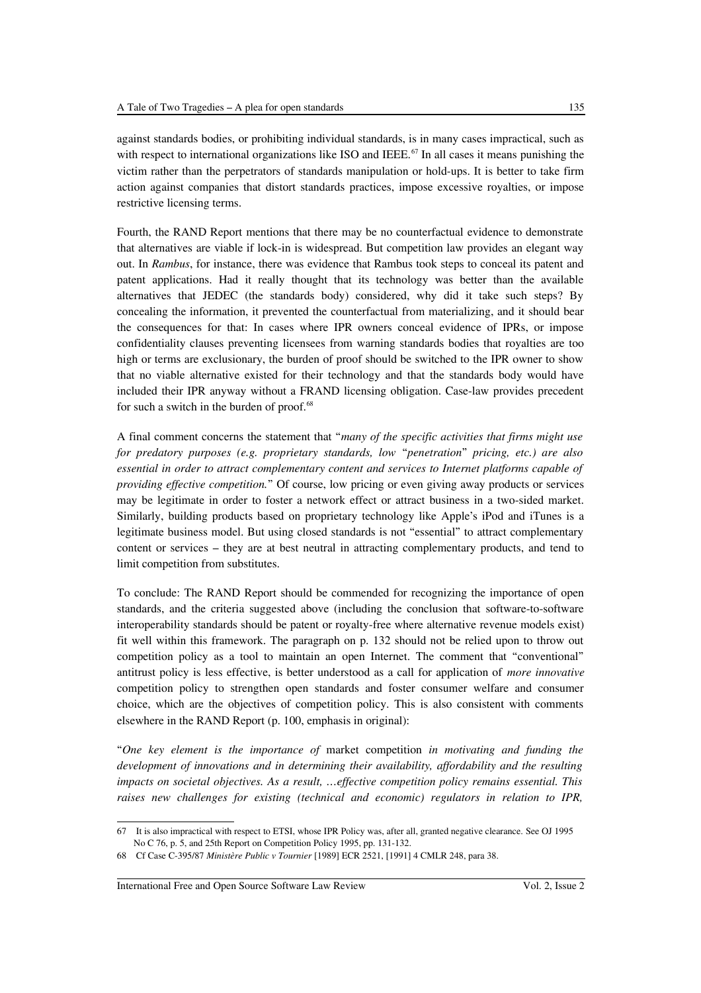against standards bodies, or prohibiting individual standards, is in many cases impractical, such as with respect to international organizations like ISO and IEEE.<sup>[67](#page-20-0)</sup> In all cases it means punishing the victim rather than the perpetrators of standards manipulation or hold-ups. It is better to take firm action against companies that distort standards practices, impose excessive royalties, or impose restrictive licensing terms.

Fourth, the RAND Report mentions that there may be no counterfactual evidence to demonstrate that alternatives are viable if lock-in is widespread. But competition law provides an elegant way out. In *Rambus*, for instance, there was evidence that Rambus took steps to conceal its patent and patent applications. Had it really thought that its technology was better than the available alternatives that JEDEC (the standards body) considered, why did it take such steps? By concealing the information, it prevented the counterfactual from materializing, and it should bear the consequences for that: In cases where IPR owners conceal evidence of IPRs, or impose confidentiality clauses preventing licensees from warning standards bodies that royalties are too high or terms are exclusionary, the burden of proof should be switched to the IPR owner to show that no viable alternative existed for their technology and that the standards body would have included their IPR anyway without a FRAND licensing obligation. Case-law provides precedent for such a switch in the burden of proof.<sup>[68](#page-20-1)</sup>

A final comment concerns the statement that "*many of the specific activities that firms might use for predatory purposes (e.g. proprietary standards, low* "*penetration*" *pricing, etc.) are also essential in order to attract complementary content and services to Internet platforms capable of providing effective competition.*" Of course, low pricing or even giving away products or services may be legitimate in order to foster a network effect or attract business in a two-sided market. Similarly, building products based on proprietary technology like Apple's iPod and iTunes is a legitimate business model. But using closed standards is not "essential" to attract complementary content or services – they are at best neutral in attracting complementary products, and tend to limit competition from substitutes.

To conclude: The RAND Report should be commended for recognizing the importance of open standards, and the criteria suggested above (including the conclusion that software-to-software interoperability standards should be patent or royalty-free where alternative revenue models exist) fit well within this framework. The paragraph on p. 132 should not be relied upon to throw out competition policy as a tool to maintain an open Internet. The comment that "conventional" antitrust policy is less effective, is better understood as a call for application of *more innovative* competition policy to strengthen open standards and foster consumer welfare and consumer choice, which are the objectives of competition policy. This is also consistent with comments elsewhere in the RAND Report (p. 100, emphasis in original):

"*One key element is the importance of* market competition *in motivating and funding the development of innovations and in determining their availability, affordability and the resulting impacts on societal objectives. As a result, …effective competition policy remains essential. This raises new challenges for existing (technical and economic) regulators in relation to IPR,*

<span id="page-20-0"></span><sup>67</sup> It is also impractical with respect to ETSI, whose IPR Policy was, after all, granted negative clearance. See OJ 1995 No C 76, p. 5, and 25th Report on Competition Policy 1995, pp. 131-132.

<span id="page-20-1"></span><sup>68</sup> Cf Case C-395/87 *Ministère Public v Tournier* [1989] ECR 2521, [1991] 4 CMLR 248, para 38.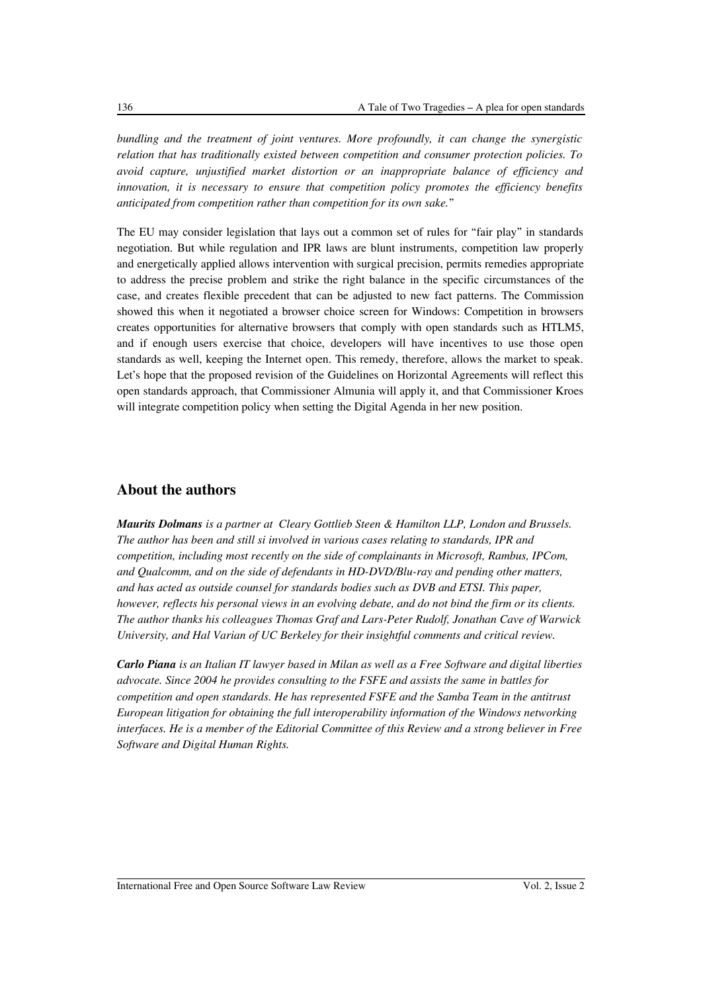*bundling and the treatment of joint ventures. More profoundly, it can change the synergistic relation that has traditionally existed between competition and consumer protection policies. To avoid capture, unjustified market distortion or an inappropriate balance of efficiency and innovation, it is necessary to ensure that competition policy promotes the efficiency benefits anticipated from competition rather than competition for its own sake.*"

The EU may consider legislation that lays out a common set of rules for "fair play" in standards negotiation. But while regulation and IPR laws are blunt instruments, competition law properly and energetically applied allows intervention with surgical precision, permits remedies appropriate to address the precise problem and strike the right balance in the specific circumstances of the case, and creates flexible precedent that can be adjusted to new fact patterns. The Commission showed this when it negotiated a browser choice screen for Windows: Competition in browsers creates opportunities for alternative browsers that comply with open standards such as HTLM5, and if enough users exercise that choice, developers will have incentives to use those open standards as well, keeping the Internet open. This remedy, therefore, allows the market to speak. Let's hope that the proposed revision of the Guidelines on Horizontal Agreements will reflect this open standards approach, that Commissioner Almunia will apply it, and that Commissioner Kroes will integrate competition policy when setting the Digital Agenda in her new position.

## **About the authors**

*Maurits Dolmans is a partner at Cleary Gottlieb Steen & Hamilton LLP, London and Brussels. The author has been and still si involved in various cases relating to standards, IPR and competition, including most recently on the side of complainants in Microsoft, Rambus, IPCom, and Qualcomm, and on the side of defendants in HD-DVD/Blu-ray and pending other matters, and has acted as outside counsel for standards bodies such as DVB and ETSI. This paper, however, reflects his personal views in an evolving debate, and do not bind the firm or its clients. The author thanks his colleagues Thomas Graf and Lars-Peter Rudolf, Jonathan Cave of Warwick University, and Hal Varian of UC Berkeley for their insightful comments and critical review.* 

*Carlo Piana is an Italian IT lawyer based in Milan as well as a Free Software and digital liberties advocate. Since 2004 he provides consulting to the FSFE and assists the same in battles for competition and open standards. He has represented FSFE and the Samba Team in the antitrust European litigation for obtaining the full interoperability information of the Windows networking interfaces. He is a member of the Editorial Committee of this Review and a strong believer in Free Software and Digital Human Rights.*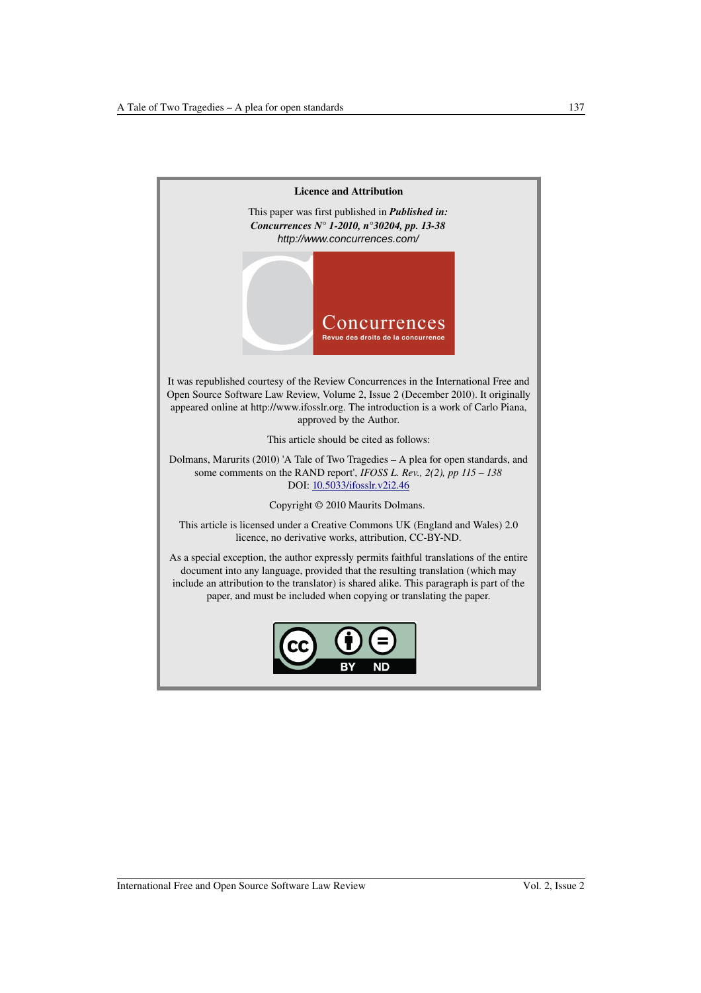